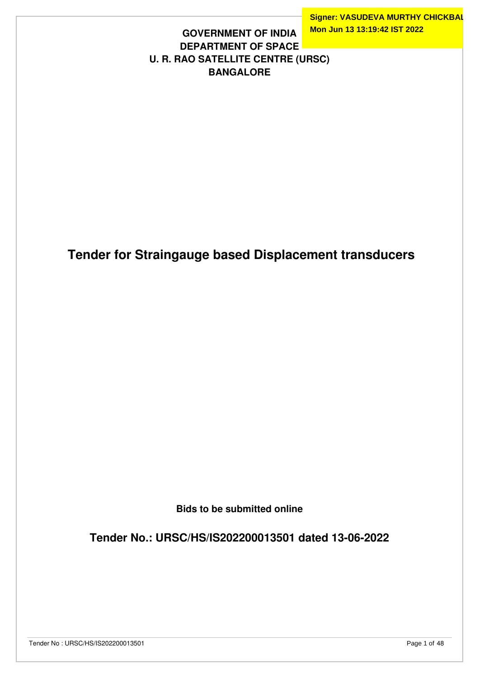**Signer: VASUDEVA MURTHY CHICKBAL Mon Jun 13 13:19:42 IST 2022**

## **GOVERNMENT OF INDIA DEPARTMENT OF SPACE U. R. RAO SATELLITE CENTRE (URSC) BANGALORE**

 **Tender for Straingauge based Displacement transducers**

**Bids to be submitted online**

**Tender No.: URSC/HS/IS202200013501 dated 13-06-2022**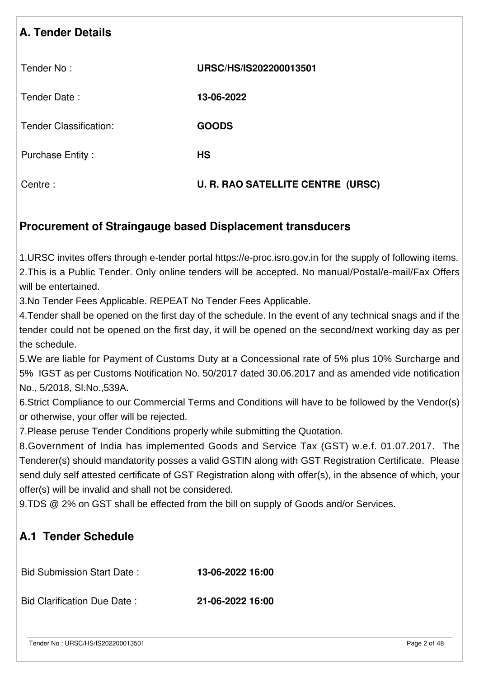| <b>A. Tender Details</b>      |                                          |
|-------------------------------|------------------------------------------|
| Tender No:                    | URSC/HS/IS202200013501                   |
| Tender Date:                  | 13-06-2022                               |
| <b>Tender Classification:</b> | <b>GOODS</b>                             |
| <b>Purchase Entity:</b>       | <b>HS</b>                                |
| Centre:                       | <b>U. R. RAO SATELLITE CENTRE (URSC)</b> |

## **Procurement of Straingauge based Displacement transducers**

1.URSC invites offers through e-tender portal https://e-proc.isro.gov.in for the supply of following items. 2.This is a Public Tender. Only online tenders will be accepted. No manual/Postal/e-mail/Fax Offers will be entertained.

3.No Tender Fees Applicable. REPEAT No Tender Fees Applicable.

4.Tender shall be opened on the first day of the schedule. In the event of any technical snags and if the tender could not be opened on the first day, it will be opened on the second/next working day as per the schedule.

5.We are liable for Payment of Customs Duty at a Concessional rate of 5% plus 10% Surcharge and 5% IGST as per Customs Notification No. 50/2017 dated 30.06.2017 and as amended vide notification No., 5/2018, Sl.No.,539A.

6.Strict Compliance to our Commercial Terms and Conditions will have to be followed by the Vendor(s) or otherwise, your offer will be rejected.

7.Please peruse Tender Conditions properly while submitting the Quotation.

8.Government of India has implemented Goods and Service Tax (GST) w.e.f. 01.07.2017. The Tenderer(s) should mandatority posses a valid GSTIN along with GST Registration Certificate. Please send duly self attested certificate of GST Registration along with offer(s), in the absence of which, your offer(s) will be invalid and shall not be considered.

9.TDS @ 2% on GST shall be effected from the bill on supply of Goods and/or Services.

# **A.1 Tender Schedule**

Bid Submission Start Date : **13-06-2022 16:00**

Bid Clarification Due Date : **21-06-2022 16:00**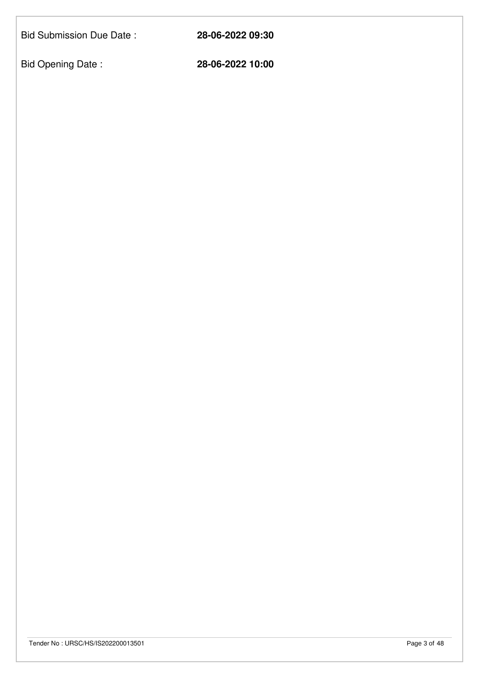Bid Submission Due Date : **28-06-2022 09:30**

Bid Opening Date : **28-06-2022 10:00**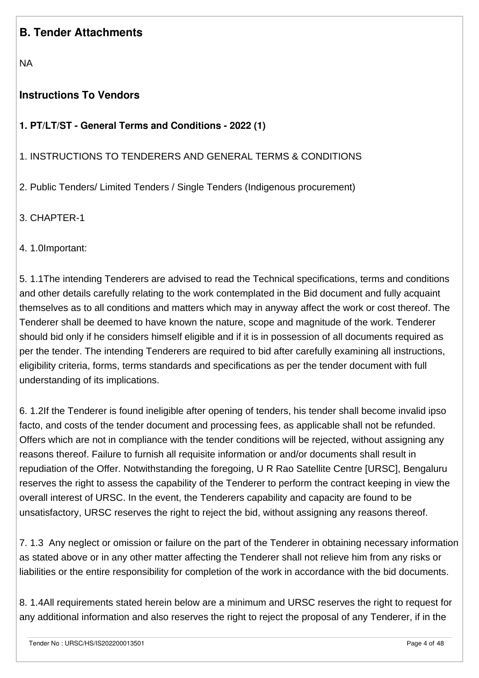## **B. Tender Attachments**

NA

## **Instructions To Vendors**

## **1. PT/LT/ST - General Terms and Conditions - 2022 (1)**

#### 1. INSTRUCTIONS TO TENDERERS AND GENERAL TERMS & CONDITIONS

2. Public Tenders/ Limited Tenders / Single Tenders (Indigenous procurement)

3. CHAPTER-1

4. 1.0Important:

5. 1.1The intending Tenderers are advised to read the Technical specifications, terms and conditions and other details carefully relating to the work contemplated in the Bid document and fully acquaint themselves as to all conditions and matters which may in anyway affect the work or cost thereof. The Tenderer shall be deemed to have known the nature, scope and magnitude of the work. Tenderer should bid only if he considers himself eligible and if it is in possession of all documents required as per the tender. The intending Tenderers are required to bid after carefully examining all instructions, eligibility criteria, forms, terms standards and specifications as per the tender document with full understanding of its implications.

6. 1.2If the Tenderer is found ineligible after opening of tenders, his tender shall become invalid ipso facto, and costs of the tender document and processing fees, as applicable shall not be refunded. Offers which are not in compliance with the tender conditions will be rejected, without assigning any reasons thereof. Failure to furnish all requisite information or and/or documents shall result in repudiation of the Offer. Notwithstanding the foregoing, U R Rao Satellite Centre [URSC], Bengaluru reserves the right to assess the capability of the Tenderer to perform the contract keeping in view the overall interest of URSC. In the event, the Tenderers capability and capacity are found to be unsatisfactory, URSC reserves the right to reject the bid, without assigning any reasons thereof.

7. 1.3 Any neglect or omission or failure on the part of the Tenderer in obtaining necessary information as stated above or in any other matter affecting the Tenderer shall not relieve him from any risks or liabilities or the entire responsibility for completion of the work in accordance with the bid documents.

8. 1.4All requirements stated herein below are a minimum and URSC reserves the right to request for any additional information and also reserves the right to reject the proposal of any Tenderer, if in the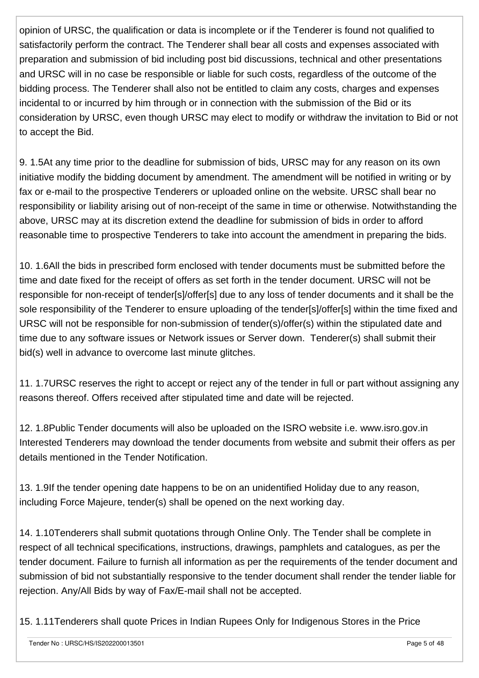opinion of URSC, the qualification or data is incomplete or if the Tenderer is found not qualified to satisfactorily perform the contract. The Tenderer shall bear all costs and expenses associated with preparation and submission of bid including post bid discussions, technical and other presentations and URSC will in no case be responsible or liable for such costs, regardless of the outcome of the bidding process. The Tenderer shall also not be entitled to claim any costs, charges and expenses incidental to or incurred by him through or in connection with the submission of the Bid or its consideration by URSC, even though URSC may elect to modify or withdraw the invitation to Bid or not to accept the Bid.

9. 1.5At any time prior to the deadline for submission of bids, URSC may for any reason on its own initiative modify the bidding document by amendment. The amendment will be notified in writing or by fax or e-mail to the prospective Tenderers or uploaded online on the website. URSC shall bear no responsibility or liability arising out of non-receipt of the same in time or otherwise. Notwithstanding the above, URSC may at its discretion extend the deadline for submission of bids in order to afford reasonable time to prospective Tenderers to take into account the amendment in preparing the bids.

10. 1.6All the bids in prescribed form enclosed with tender documents must be submitted before the time and date fixed for the receipt of offers as set forth in the tender document. URSC will not be responsible for non-receipt of tender[s]/offer[s] due to any loss of tender documents and it shall be the sole responsibility of the Tenderer to ensure uploading of the tender[s]/offer[s] within the time fixed and URSC will not be responsible for non-submission of tender(s)/offer(s) within the stipulated date and time due to any software issues or Network issues or Server down. Tenderer(s) shall submit their bid(s) well in advance to overcome last minute glitches.

11. 1.7URSC reserves the right to accept or reject any of the tender in full or part without assigning any reasons thereof. Offers received after stipulated time and date will be rejected.

12. 1.8Public Tender documents will also be uploaded on the ISRO website i.e. www.isro.gov.in Interested Tenderers may download the tender documents from website and submit their offers as per details mentioned in the Tender Notification.

13. 1.9If the tender opening date happens to be on an unidentified Holiday due to any reason, including Force Majeure, tender(s) shall be opened on the next working day.

14. 1.10Tenderers shall submit quotations through Online Only. The Tender shall be complete in respect of all technical specifications, instructions, drawings, pamphlets and catalogues, as per the tender document. Failure to furnish all information as per the requirements of the tender document and submission of bid not substantially responsive to the tender document shall render the tender liable for rejection. Any/All Bids by way of Fax/E-mail shall not be accepted.

15. 1.11Tenderers shall quote Prices in Indian Rupees Only for Indigenous Stores in the Price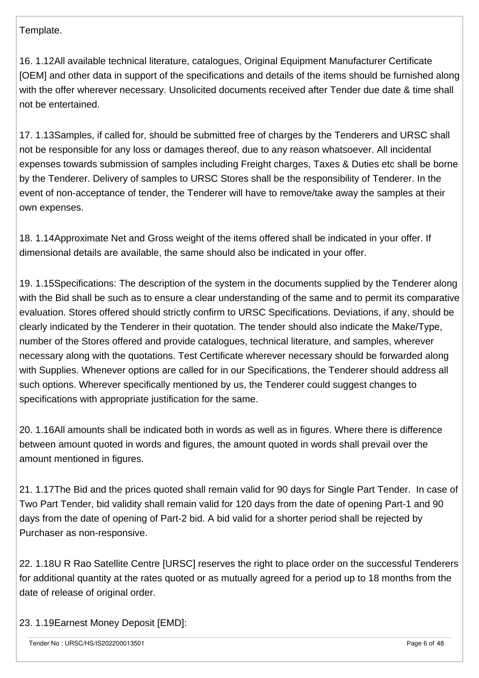Template.

16. 1.12All available technical literature, catalogues, Original Equipment Manufacturer Certificate [OEM] and other data in support of the specifications and details of the items should be furnished along with the offer wherever necessary. Unsolicited documents received after Tender due date & time shall not be entertained.

17. 1.13Samples, if called for, should be submitted free of charges by the Tenderers and URSC shall not be responsible for any loss or damages thereof, due to any reason whatsoever. All incidental expenses towards submission of samples including Freight charges, Taxes & Duties etc shall be borne by the Tenderer. Delivery of samples to URSC Stores shall be the responsibility of Tenderer. In the event of non-acceptance of tender, the Tenderer will have to remove/take away the samples at their own expenses.

18. 1.14Approximate Net and Gross weight of the items offered shall be indicated in your offer. If dimensional details are available, the same should also be indicated in your offer.

19. 1.15Specifications: The description of the system in the documents supplied by the Tenderer along with the Bid shall be such as to ensure a clear understanding of the same and to permit its comparative evaluation. Stores offered should strictly confirm to URSC Specifications. Deviations, if any, should be clearly indicated by the Tenderer in their quotation. The tender should also indicate the Make/Type, number of the Stores offered and provide catalogues, technical literature, and samples, wherever necessary along with the quotations. Test Certificate wherever necessary should be forwarded along with Supplies. Whenever options are called for in our Specifications, the Tenderer should address all such options. Wherever specifically mentioned by us, the Tenderer could suggest changes to specifications with appropriate justification for the same.

20. 1.16All amounts shall be indicated both in words as well as in figures. Where there is difference between amount quoted in words and figures, the amount quoted in words shall prevail over the amount mentioned in figures.

21. 1.17The Bid and the prices quoted shall remain valid for 90 days for Single Part Tender. In case of Two Part Tender, bid validity shall remain valid for 120 days from the date of opening Part-1 and 90 days from the date of opening of Part-2 bid. A bid valid for a shorter period shall be rejected by Purchaser as non-responsive.

22. 1.18U R Rao Satellite Centre [URSC] reserves the right to place order on the successful Tenderers for additional quantity at the rates quoted or as mutually agreed for a period up to 18 months from the date of release of original order.

23. 1.19Earnest Money Deposit [EMD]: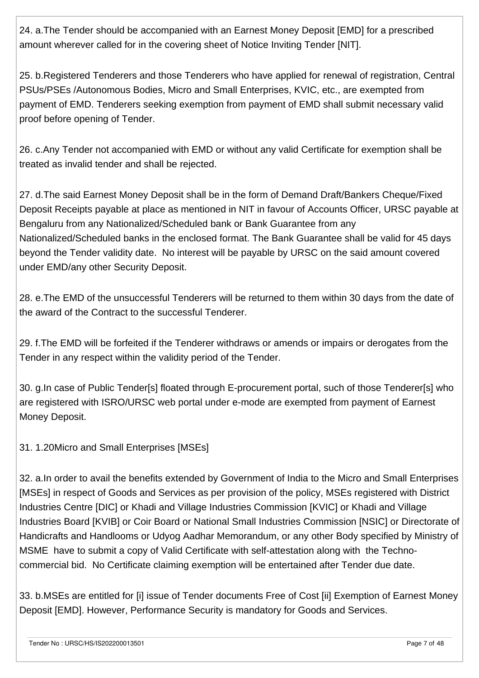24. a.The Tender should be accompanied with an Earnest Money Deposit [EMD] for a prescribed amount wherever called for in the covering sheet of Notice Inviting Tender [NIT].

25. b.Registered Tenderers and those Tenderers who have applied for renewal of registration, Central PSUs/PSEs /Autonomous Bodies, Micro and Small Enterprises, KVIC, etc., are exempted from payment of EMD. Tenderers seeking exemption from payment of EMD shall submit necessary valid proof before opening of Tender.

26. c.Any Tender not accompanied with EMD or without any valid Certificate for exemption shall be treated as invalid tender and shall be rejected.

27. d.The said Earnest Money Deposit shall be in the form of Demand Draft/Bankers Cheque/Fixed Deposit Receipts payable at place as mentioned in NIT in favour of Accounts Officer, URSC payable at Bengaluru from any Nationalized/Scheduled bank or Bank Guarantee from any Nationalized/Scheduled banks in the enclosed format. The Bank Guarantee shall be valid for 45 days beyond the Tender validity date. No interest will be payable by URSC on the said amount covered under EMD/any other Security Deposit.

28. e.The EMD of the unsuccessful Tenderers will be returned to them within 30 days from the date of the award of the Contract to the successful Tenderer.

29. f.The EMD will be forfeited if the Tenderer withdraws or amends or impairs or derogates from the Tender in any respect within the validity period of the Tender.

30. g.In case of Public Tender[s] floated through E-procurement portal, such of those Tenderer[s] who are registered with ISRO/URSC web portal under e-mode are exempted from payment of Earnest Money Deposit.

31. 1.20Micro and Small Enterprises [MSEs]

32. a.In order to avail the benefits extended by Government of India to the Micro and Small Enterprises [MSEs] in respect of Goods and Services as per provision of the policy, MSEs registered with District Industries Centre [DIC] or Khadi and Village Industries Commission [KVIC] or Khadi and Village Industries Board [KVIB] or Coir Board or National Small Industries Commission [NSIC] or Directorate of Handicrafts and Handlooms or Udyog Aadhar Memorandum, or any other Body specified by Ministry of MSME have to submit a copy of Valid Certificate with self-attestation along with the Technocommercial bid. No Certificate claiming exemption will be entertained after Tender due date.

33. b.MSEs are entitled for [i] issue of Tender documents Free of Cost [ii] Exemption of Earnest Money Deposit [EMD]. However, Performance Security is mandatory for Goods and Services.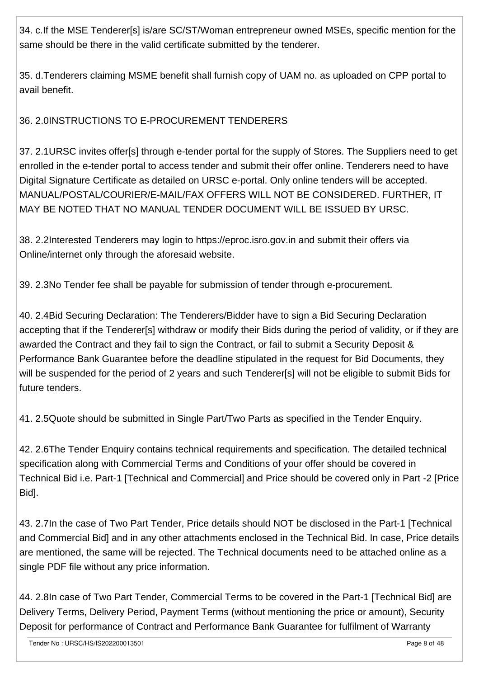34. c.If the MSE Tenderer[s] is/are SC/ST/Woman entrepreneur owned MSEs, specific mention for the same should be there in the valid certificate submitted by the tenderer.

35. d.Tenderers claiming MSME benefit shall furnish copy of UAM no. as uploaded on CPP portal to avail benefit.

36. 2.0INSTRUCTIONS TO E-PROCUREMENT TENDERERS

37. 2.1URSC invites offer[s] through e-tender portal for the supply of Stores. The Suppliers need to get enrolled in the e-tender portal to access tender and submit their offer online. Tenderers need to have Digital Signature Certificate as detailed on URSC e-portal. Only online tenders will be accepted. MANUAL/POSTAL/COURIER/E-MAIL/FAX OFFERS WILL NOT BE CONSIDERED. FURTHER, IT MAY BE NOTED THAT NO MANUAL TENDER DOCUMENT WILL BE ISSUED BY URSC.

38. 2.2Interested Tenderers may login to https://eproc.isro.gov.in and submit their offers via Online/internet only through the aforesaid website.

39. 2.3No Tender fee shall be payable for submission of tender through e-procurement.

40. 2.4Bid Securing Declaration: The Tenderers/Bidder have to sign a Bid Securing Declaration accepting that if the Tenderer[s] withdraw or modify their Bids during the period of validity, or if they are awarded the Contract and they fail to sign the Contract, or fail to submit a Security Deposit & Performance Bank Guarantee before the deadline stipulated in the request for Bid Documents, they will be suspended for the period of 2 years and such Tenderer[s] will not be eligible to submit Bids for future tenders.

41. 2.5Quote should be submitted in Single Part/Two Parts as specified in the Tender Enquiry.

42. 2.6The Tender Enquiry contains technical requirements and specification. The detailed technical specification along with Commercial Terms and Conditions of your offer should be covered in Technical Bid i.e. Part-1 [Technical and Commercial] and Price should be covered only in Part -2 [Price Bid].

43. 2.7In the case of Two Part Tender, Price details should NOT be disclosed in the Part-1 [Technical and Commercial Bid] and in any other attachments enclosed in the Technical Bid. In case, Price details are mentioned, the same will be rejected. The Technical documents need to be attached online as a single PDF file without any price information.

44. 2.8In case of Two Part Tender, Commercial Terms to be covered in the Part-1 [Technical Bid] are Delivery Terms, Delivery Period, Payment Terms (without mentioning the price or amount), Security Deposit for performance of Contract and Performance Bank Guarantee for fulfilment of Warranty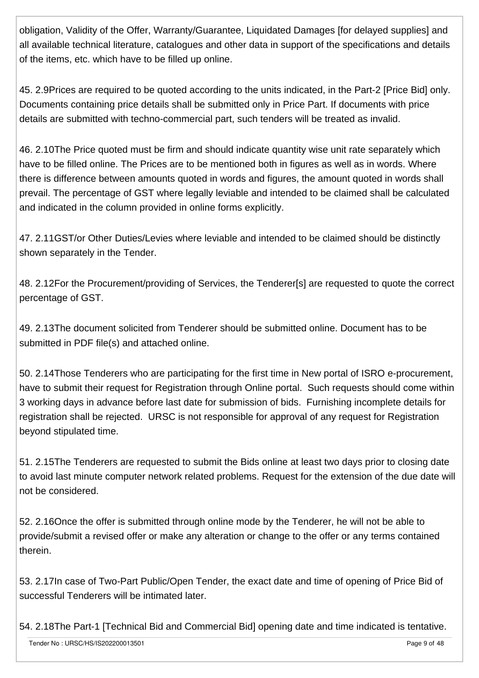obligation, Validity of the Offer, Warranty/Guarantee, Liquidated Damages [for delayed supplies] and all available technical literature, catalogues and other data in support of the specifications and details of the items, etc. which have to be filled up online.

45. 2.9Prices are required to be quoted according to the units indicated, in the Part-2 [Price Bid] only. Documents containing price details shall be submitted only in Price Part. If documents with price details are submitted with techno-commercial part, such tenders will be treated as invalid.

46. 2.10The Price quoted must be firm and should indicate quantity wise unit rate separately which have to be filled online. The Prices are to be mentioned both in figures as well as in words. Where there is difference between amounts quoted in words and figures, the amount quoted in words shall prevail. The percentage of GST where legally leviable and intended to be claimed shall be calculated and indicated in the column provided in online forms explicitly.

47. 2.11GST/or Other Duties/Levies where leviable and intended to be claimed should be distinctly shown separately in the Tender.

48. 2.12For the Procurement/providing of Services, the Tenderer[s] are requested to quote the correct percentage of GST.

49. 2.13The document solicited from Tenderer should be submitted online. Document has to be submitted in PDF file(s) and attached online.

50. 2.14Those Tenderers who are participating for the first time in New portal of ISRO e-procurement, have to submit their request for Registration through Online portal. Such requests should come within 3 working days in advance before last date for submission of bids. Furnishing incomplete details for registration shall be rejected. URSC is not responsible for approval of any request for Registration beyond stipulated time.

51. 2.15The Tenderers are requested to submit the Bids online at least two days prior to closing date to avoid last minute computer network related problems. Request for the extension of the due date will not be considered.

52. 2.16Once the offer is submitted through online mode by the Tenderer, he will not be able to provide/submit a revised offer or make any alteration or change to the offer or any terms contained therein.

53. 2.17In case of Two-Part Public/Open Tender, the exact date and time of opening of Price Bid of successful Tenderers will be intimated later.

54. 2.18The Part-1 [Technical Bid and Commercial Bid] opening date and time indicated is tentative.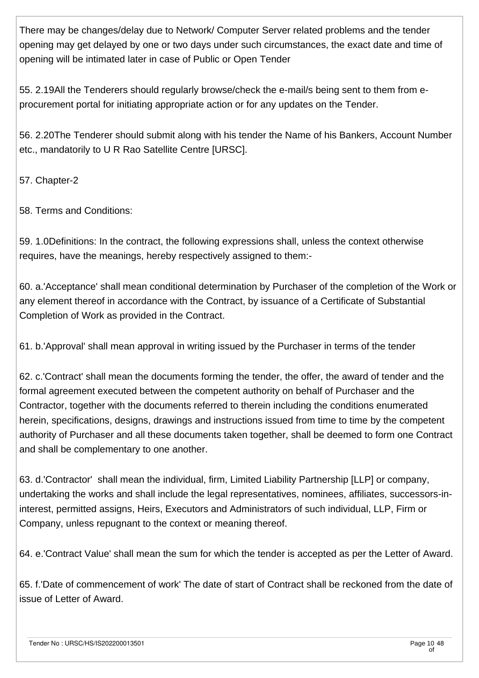There may be changes/delay due to Network/ Computer Server related problems and the tender opening may get delayed by one or two days under such circumstances, the exact date and time of opening will be intimated later in case of Public or Open Tender

55. 2.19All the Tenderers should regularly browse/check the e-mail/s being sent to them from eprocurement portal for initiating appropriate action or for any updates on the Tender.

56. 2.20The Tenderer should submit along with his tender the Name of his Bankers, Account Number etc., mandatorily to U R Rao Satellite Centre [URSC].

57. Chapter-2

58. Terms and Conditions:

59. 1.0Definitions: In the contract, the following expressions shall, unless the context otherwise requires, have the meanings, hereby respectively assigned to them:-

60. a.'Acceptance' shall mean conditional determination by Purchaser of the completion of the Work or any element thereof in accordance with the Contract, by issuance of a Certificate of Substantial Completion of Work as provided in the Contract.

61. b.'Approval' shall mean approval in writing issued by the Purchaser in terms of the tender

62. c.'Contract' shall mean the documents forming the tender, the offer, the award of tender and the formal agreement executed between the competent authority on behalf of Purchaser and the Contractor, together with the documents referred to therein including the conditions enumerated herein, specifications, designs, drawings and instructions issued from time to time by the competent authority of Purchaser and all these documents taken together, shall be deemed to form one Contract and shall be complementary to one another.

63. d.'Contractor' shall mean the individual, firm, Limited Liability Partnership [LLP] or company, undertaking the works and shall include the legal representatives, nominees, affiliates, successors-ininterest, permitted assigns, Heirs, Executors and Administrators of such individual, LLP, Firm or Company, unless repugnant to the context or meaning thereof.

64. e.'Contract Value' shall mean the sum for which the tender is accepted as per the Letter of Award.

65. f.'Date of commencement of work' The date of start of Contract shall be reckoned from the date of issue of Letter of Award.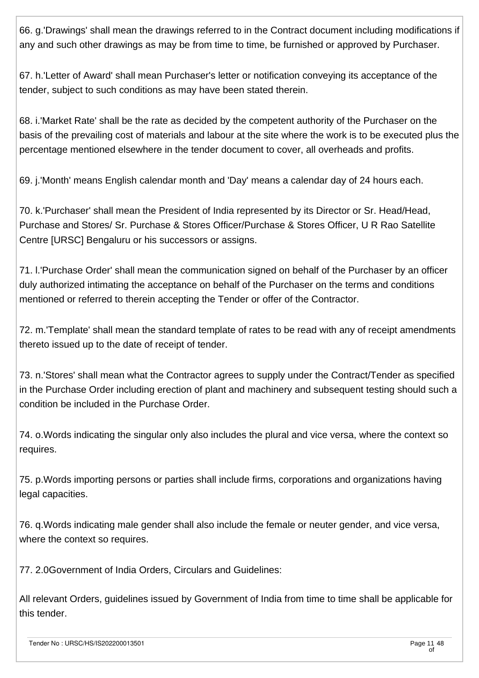66. g.'Drawings' shall mean the drawings referred to in the Contract document including modifications if any and such other drawings as may be from time to time, be furnished or approved by Purchaser.

67. h.'Letter of Award' shall mean Purchaser's letter or notification conveying its acceptance of the tender, subject to such conditions as may have been stated therein.

68. i.'Market Rate' shall be the rate as decided by the competent authority of the Purchaser on the basis of the prevailing cost of materials and labour at the site where the work is to be executed plus the percentage mentioned elsewhere in the tender document to cover, all overheads and profits.

69. j.'Month' means English calendar month and 'Day' means a calendar day of 24 hours each.

70. k.'Purchaser' shall mean the President of India represented by its Director or Sr. Head/Head, Purchase and Stores/ Sr. Purchase & Stores Officer/Purchase & Stores Officer, U R Rao Satellite Centre [URSC] Bengaluru or his successors or assigns.

71. l.'Purchase Order' shall mean the communication signed on behalf of the Purchaser by an officer duly authorized intimating the acceptance on behalf of the Purchaser on the terms and conditions mentioned or referred to therein accepting the Tender or offer of the Contractor.

72. m.'Template' shall mean the standard template of rates to be read with any of receipt amendments thereto issued up to the date of receipt of tender.

73. n.'Stores' shall mean what the Contractor agrees to supply under the Contract/Tender as specified in the Purchase Order including erection of plant and machinery and subsequent testing should such a condition be included in the Purchase Order.

74. o.Words indicating the singular only also includes the plural and vice versa, where the context so requires.

75. p.Words importing persons or parties shall include firms, corporations and organizations having legal capacities.

76. q.Words indicating male gender shall also include the female or neuter gender, and vice versa, where the context so requires.

77. 2.0Government of India Orders, Circulars and Guidelines:

All relevant Orders, guidelines issued by Government of India from time to time shall be applicable for this tender.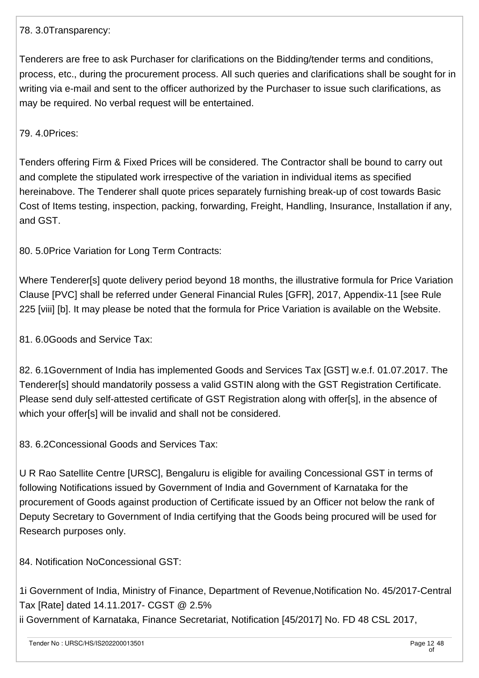#### 78. 3.0Transparency:

Tenderers are free to ask Purchaser for clarifications on the Bidding/tender terms and conditions, process, etc., during the procurement process. All such queries and clarifications shall be sought for in writing via e-mail and sent to the officer authorized by the Purchaser to issue such clarifications, as may be required. No verbal request will be entertained.

#### 79. 4.0Prices:

Tenders offering Firm & Fixed Prices will be considered. The Contractor shall be bound to carry out and complete the stipulated work irrespective of the variation in individual items as specified hereinabove. The Tenderer shall quote prices separately furnishing break-up of cost towards Basic Cost of Items testing, inspection, packing, forwarding, Freight, Handling, Insurance, Installation if any, and GST.

80. 5.0Price Variation for Long Term Contracts:

Where Tenderer[s] quote delivery period beyond 18 months, the illustrative formula for Price Variation Clause [PVC] shall be referred under General Financial Rules [GFR], 2017, Appendix-11 [see Rule 225 [viii] [b]. It may please be noted that the formula for Price Variation is available on the Website.

81. 6.0Goods and Service Tax:

82. 6.1Government of India has implemented Goods and Services Tax [GST] w.e.f. 01.07.2017. The Tenderer[s] should mandatorily possess a valid GSTIN along with the GST Registration Certificate. Please send duly self-attested certificate of GST Registration along with offer[s], in the absence of which your offer[s] will be invalid and shall not be considered.

83. 6.2Concessional Goods and Services Tax:

U R Rao Satellite Centre [URSC], Bengaluru is eligible for availing Concessional GST in terms of following Notifications issued by Government of India and Government of Karnataka for the procurement of Goods against production of Certificate issued by an Officer not below the rank of Deputy Secretary to Government of India certifying that the Goods being procured will be used for Research purposes only.

84. Notification NoConcessional GST:

1i Government of India, Ministry of Finance, Department of Revenue,Notification No. 45/2017-Central Tax [Rate] dated 14.11.2017- CGST @ 2.5% ii Government of Karnataka, Finance Secretariat, Notification [45/2017] No. FD 48 CSL 2017,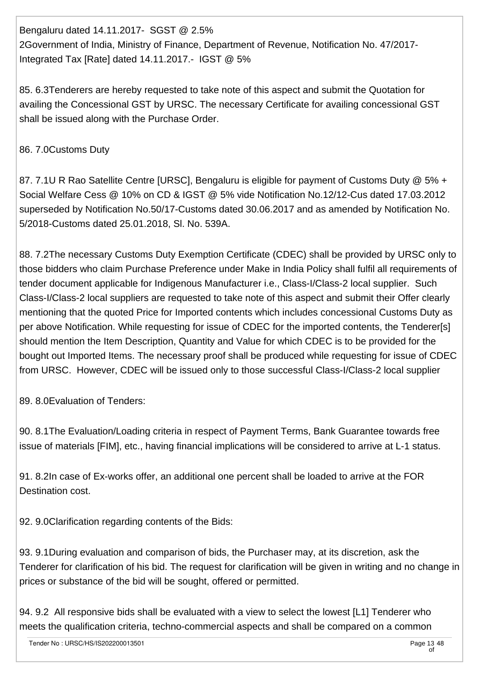Bengaluru dated 14.11.2017- SGST @ 2.5% 2Government of India, Ministry of Finance, Department of Revenue, Notification No. 47/2017- Integrated Tax [Rate] dated 14.11.2017.- IGST @ 5%

85. 6.3Tenderers are hereby requested to take note of this aspect and submit the Quotation for availing the Concessional GST by URSC. The necessary Certificate for availing concessional GST shall be issued along with the Purchase Order.

## 86. 7.0Customs Duty

87. 7.1U R Rao Satellite Centre [URSC], Bengaluru is eligible for payment of Customs Duty @ 5% + Social Welfare Cess @ 10% on CD & IGST @ 5% vide Notification No.12/12-Cus dated 17.03.2012 superseded by Notification No.50/17-Customs dated 30.06.2017 and as amended by Notification No. 5/2018-Customs dated 25.01.2018, Sl. No. 539A.

88. 7.2The necessary Customs Duty Exemption Certificate (CDEC) shall be provided by URSC only to those bidders who claim Purchase Preference under Make in India Policy shall fulfil all requirements of tender document applicable for Indigenous Manufacturer i.e., Class-I/Class-2 local supplier. Such Class-I/Class-2 local suppliers are requested to take note of this aspect and submit their Offer clearly mentioning that the quoted Price for Imported contents which includes concessional Customs Duty as per above Notification. While requesting for issue of CDEC for the imported contents, the Tenderer[s] should mention the Item Description, Quantity and Value for which CDEC is to be provided for the bought out Imported Items. The necessary proof shall be produced while requesting for issue of CDEC from URSC. However, CDEC will be issued only to those successful Class-I/Class-2 local supplier

89. 8.0Evaluation of Tenders:

90. 8.1The Evaluation/Loading criteria in respect of Payment Terms, Bank Guarantee towards free issue of materials [FIM], etc., having financial implications will be considered to arrive at L-1 status.

91. 8.2In case of Ex-works offer, an additional one percent shall be loaded to arrive at the FOR Destination cost.

92. 9.0Clarification regarding contents of the Bids:

93. 9.1During evaluation and comparison of bids, the Purchaser may, at its discretion, ask the Tenderer for clarification of his bid. The request for clarification will be given in writing and no change in prices or substance of the bid will be sought, offered or permitted.

94. 9.2 All responsive bids shall be evaluated with a view to select the lowest [L1] Tenderer who meets the qualification criteria, techno-commercial aspects and shall be compared on a common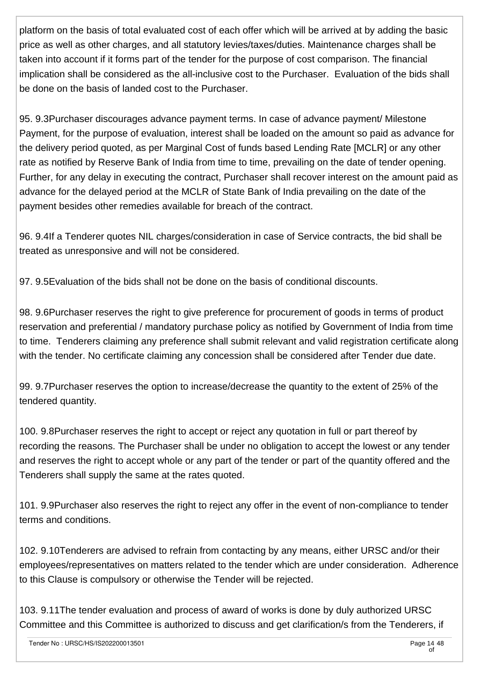platform on the basis of total evaluated cost of each offer which will be arrived at by adding the basic price as well as other charges, and all statutory levies/taxes/duties. Maintenance charges shall be taken into account if it forms part of the tender for the purpose of cost comparison. The financial implication shall be considered as the all-inclusive cost to the Purchaser. Evaluation of the bids shall be done on the basis of landed cost to the Purchaser.

95. 9.3Purchaser discourages advance payment terms. In case of advance payment/ Milestone Payment, for the purpose of evaluation, interest shall be loaded on the amount so paid as advance for the delivery period quoted, as per Marginal Cost of funds based Lending Rate [MCLR] or any other rate as notified by Reserve Bank of India from time to time, prevailing on the date of tender opening. Further, for any delay in executing the contract, Purchaser shall recover interest on the amount paid as advance for the delayed period at the MCLR of State Bank of India prevailing on the date of the payment besides other remedies available for breach of the contract.

96. 9.4If a Tenderer quotes NIL charges/consideration in case of Service contracts, the bid shall be treated as unresponsive and will not be considered.

97. 9.5Evaluation of the bids shall not be done on the basis of conditional discounts.

98. 9.6Purchaser reserves the right to give preference for procurement of goods in terms of product reservation and preferential / mandatory purchase policy as notified by Government of India from time to time. Tenderers claiming any preference shall submit relevant and valid registration certificate along with the tender. No certificate claiming any concession shall be considered after Tender due date.

99. 9.7Purchaser reserves the option to increase/decrease the quantity to the extent of 25% of the tendered quantity.

100. 9.8Purchaser reserves the right to accept or reject any quotation in full or part thereof by recording the reasons. The Purchaser shall be under no obligation to accept the lowest or any tender and reserves the right to accept whole or any part of the tender or part of the quantity offered and the Tenderers shall supply the same at the rates quoted.

101. 9.9Purchaser also reserves the right to reject any offer in the event of non-compliance to tender terms and conditions.

102. 9.10Tenderers are advised to refrain from contacting by any means, either URSC and/or their employees/representatives on matters related to the tender which are under consideration. Adherence to this Clause is compulsory or otherwise the Tender will be rejected.

103. 9.11The tender evaluation and process of award of works is done by duly authorized URSC Committee and this Committee is authorized to discuss and get clarification/s from the Tenderers, if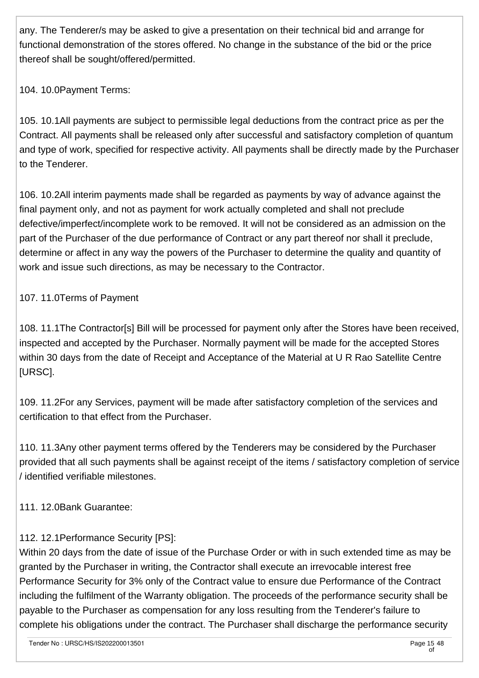any. The Tenderer/s may be asked to give a presentation on their technical bid and arrange for functional demonstration of the stores offered. No change in the substance of the bid or the price thereof shall be sought/offered/permitted.

104. 10.0Payment Terms:

105. 10.1All payments are subject to permissible legal deductions from the contract price as per the Contract. All payments shall be released only after successful and satisfactory completion of quantum and type of work, specified for respective activity. All payments shall be directly made by the Purchaser to the Tenderer.

106. 10.2All interim payments made shall be regarded as payments by way of advance against the final payment only, and not as payment for work actually completed and shall not preclude defective/imperfect/incomplete work to be removed. It will not be considered as an admission on the part of the Purchaser of the due performance of Contract or any part thereof nor shall it preclude, determine or affect in any way the powers of the Purchaser to determine the quality and quantity of work and issue such directions, as may be necessary to the Contractor.

## 107. 11.0Terms of Payment

108. 11.1The Contractor[s] Bill will be processed for payment only after the Stores have been received, inspected and accepted by the Purchaser. Normally payment will be made for the accepted Stores within 30 days from the date of Receipt and Acceptance of the Material at U R Rao Satellite Centre [URSC].

109. 11.2For any Services, payment will be made after satisfactory completion of the services and certification to that effect from the Purchaser.

110. 11.3Any other payment terms offered by the Tenderers may be considered by the Purchaser provided that all such payments shall be against receipt of the items / satisfactory completion of service / identified verifiable milestones.

111. 12.0Bank Guarantee:

## 112. 12.1Performance Security [PS]:

Within 20 days from the date of issue of the Purchase Order or with in such extended time as may be granted by the Purchaser in writing, the Contractor shall execute an irrevocable interest free Performance Security for 3% only of the Contract value to ensure due Performance of the Contract including the fulfilment of the Warranty obligation. The proceeds of the performance security shall be payable to the Purchaser as compensation for any loss resulting from the Tenderer's failure to complete his obligations under the contract. The Purchaser shall discharge the performance security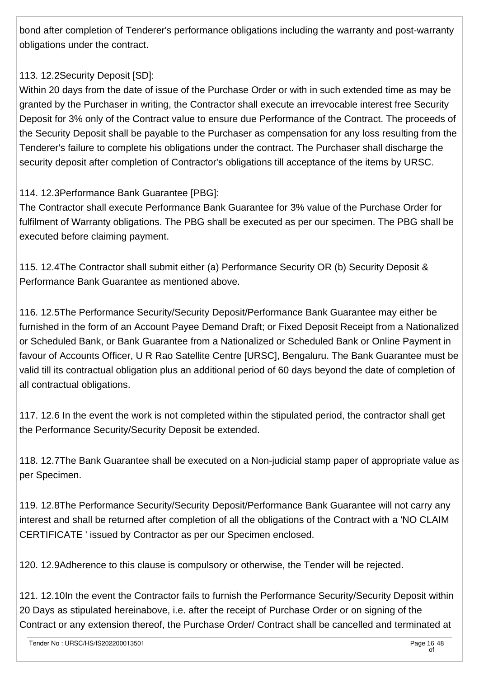bond after completion of Tenderer's performance obligations including the warranty and post-warranty obligations under the contract.

## 113. 12.2Security Deposit [SD]:

Within 20 days from the date of issue of the Purchase Order or with in such extended time as may be granted by the Purchaser in writing, the Contractor shall execute an irrevocable interest free Security Deposit for 3% only of the Contract value to ensure due Performance of the Contract. The proceeds of the Security Deposit shall be payable to the Purchaser as compensation for any loss resulting from the Tenderer's failure to complete his obligations under the contract. The Purchaser shall discharge the security deposit after completion of Contractor's obligations till acceptance of the items by URSC.

## 114. 12.3Performance Bank Guarantee [PBG]:

The Contractor shall execute Performance Bank Guarantee for 3% value of the Purchase Order for fulfilment of Warranty obligations. The PBG shall be executed as per our specimen. The PBG shall be executed before claiming payment.

115. 12.4The Contractor shall submit either (a) Performance Security OR (b) Security Deposit & Performance Bank Guarantee as mentioned above.

116. 12.5The Performance Security/Security Deposit/Performance Bank Guarantee may either be furnished in the form of an Account Payee Demand Draft; or Fixed Deposit Receipt from a Nationalized or Scheduled Bank, or Bank Guarantee from a Nationalized or Scheduled Bank or Online Payment in favour of Accounts Officer, U R Rao Satellite Centre [URSC], Bengaluru. The Bank Guarantee must be valid till its contractual obligation plus an additional period of 60 days beyond the date of completion of all contractual obligations.

117. 12.6 In the event the work is not completed within the stipulated period, the contractor shall get the Performance Security/Security Deposit be extended.

118. 12.7The Bank Guarantee shall be executed on a Non-judicial stamp paper of appropriate value as per Specimen.

119. 12.8The Performance Security/Security Deposit/Performance Bank Guarantee will not carry any interest and shall be returned after completion of all the obligations of the Contract with a 'NO CLAIM CERTIFICATE ' issued by Contractor as per our Specimen enclosed.

120. 12.9Adherence to this clause is compulsory or otherwise, the Tender will be rejected.

121. 12.10In the event the Contractor fails to furnish the Performance Security/Security Deposit within 20 Days as stipulated hereinabove, i.e. after the receipt of Purchase Order or on signing of the Contract or any extension thereof, the Purchase Order/ Contract shall be cancelled and terminated at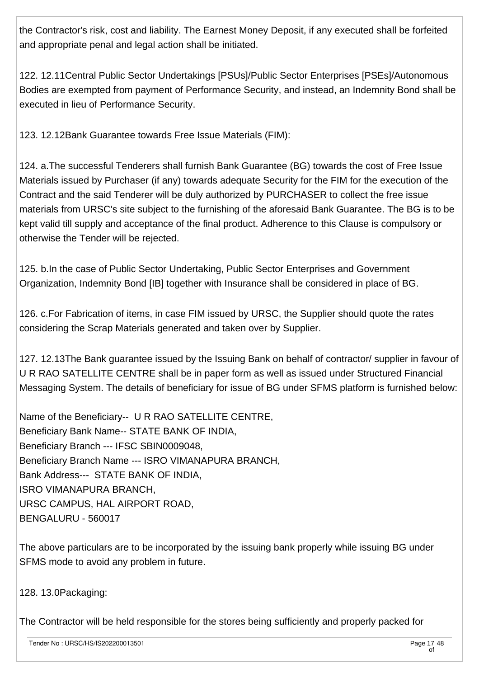the Contractor's risk, cost and liability. The Earnest Money Deposit, if any executed shall be forfeited and appropriate penal and legal action shall be initiated.

122. 12.11Central Public Sector Undertakings [PSUs]/Public Sector Enterprises [PSEs]/Autonomous Bodies are exempted from payment of Performance Security, and instead, an Indemnity Bond shall be executed in lieu of Performance Security.

123. 12.12Bank Guarantee towards Free Issue Materials (FIM):

124. a.The successful Tenderers shall furnish Bank Guarantee (BG) towards the cost of Free Issue Materials issued by Purchaser (if any) towards adequate Security for the FIM for the execution of the Contract and the said Tenderer will be duly authorized by PURCHASER to collect the free issue materials from URSC's site subject to the furnishing of the aforesaid Bank Guarantee. The BG is to be kept valid till supply and acceptance of the final product. Adherence to this Clause is compulsory or otherwise the Tender will be rejected.

125. b.In the case of Public Sector Undertaking, Public Sector Enterprises and Government Organization, Indemnity Bond [IB] together with Insurance shall be considered in place of BG.

126. c.For Fabrication of items, in case FIM issued by URSC, the Supplier should quote the rates considering the Scrap Materials generated and taken over by Supplier.

127. 12.13The Bank guarantee issued by the Issuing Bank on behalf of contractor/ supplier in favour of U R RAO SATELLITE CENTRE shall be in paper form as well as issued under Structured Financial Messaging System. The details of beneficiary for issue of BG under SFMS platform is furnished below:

Name of the Beneficiary-- U R RAO SATELLITE CENTRE, Beneficiary Bank Name-- STATE BANK OF INDIA, Beneficiary Branch --- IFSC SBIN0009048, Beneficiary Branch Name --- ISRO VIMANAPURA BRANCH, Bank Address--- STATE BANK OF INDIA, ISRO VIMANAPURA BRANCH, URSC CAMPUS, HAL AIRPORT ROAD, BENGALURU - 560017

The above particulars are to be incorporated by the issuing bank properly while issuing BG under SFMS mode to avoid any problem in future.

128. 13.0Packaging:

The Contractor will be held responsible for the stores being sufficiently and properly packed for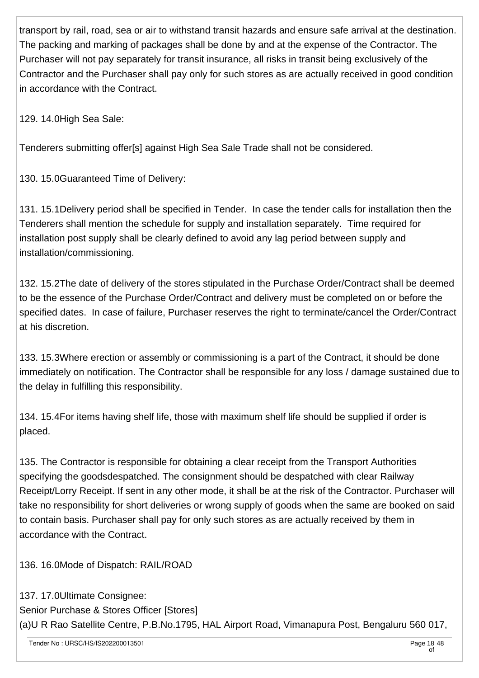transport by rail, road, sea or air to withstand transit hazards and ensure safe arrival at the destination. The packing and marking of packages shall be done by and at the expense of the Contractor. The Purchaser will not pay separately for transit insurance, all risks in transit being exclusively of the Contractor and the Purchaser shall pay only for such stores as are actually received in good condition in accordance with the Contract.

129. 14.0High Sea Sale:

Tenderers submitting offer[s] against High Sea Sale Trade shall not be considered.

130. 15.0Guaranteed Time of Delivery:

131. 15.1Delivery period shall be specified in Tender. In case the tender calls for installation then the Tenderers shall mention the schedule for supply and installation separately. Time required for installation post supply shall be clearly defined to avoid any lag period between supply and installation/commissioning.

132. 15.2The date of delivery of the stores stipulated in the Purchase Order/Contract shall be deemed to be the essence of the Purchase Order/Contract and delivery must be completed on or before the specified dates. In case of failure, Purchaser reserves the right to terminate/cancel the Order/Contract at his discretion.

133. 15.3Where erection or assembly or commissioning is a part of the Contract, it should be done immediately on notification. The Contractor shall be responsible for any loss / damage sustained due to the delay in fulfilling this responsibility.

134. 15.4For items having shelf life, those with maximum shelf life should be supplied if order is placed.

135. The Contractor is responsible for obtaining a clear receipt from the Transport Authorities specifying the goodsdespatched. The consignment should be despatched with clear Railway Receipt/Lorry Receipt. If sent in any other mode, it shall be at the risk of the Contractor. Purchaser will take no responsibility for short deliveries or wrong supply of goods when the same are booked on said to contain basis. Purchaser shall pay for only such stores as are actually received by them in accordance with the Contract.

136. 16.0Mode of Dispatch: RAIL/ROAD

137. 17.0Ultimate Consignee: Senior Purchase & Stores Officer [Stores] (a)U R Rao Satellite Centre, P.B.No.1795, HAL Airport Road, Vimanapura Post, Bengaluru 560 017,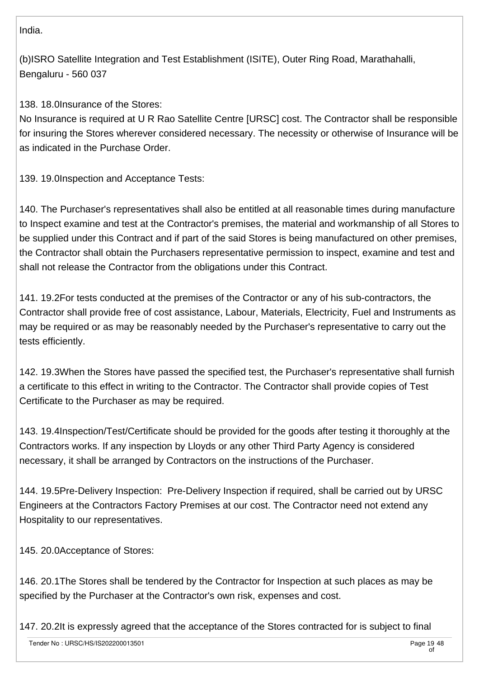India.

(b)ISRO Satellite Integration and Test Establishment (ISITE), Outer Ring Road, Marathahalli, Bengaluru - 560 037

138. 18.0Insurance of the Stores:

No Insurance is required at U R Rao Satellite Centre [URSC] cost. The Contractor shall be responsible for insuring the Stores wherever considered necessary. The necessity or otherwise of Insurance will be as indicated in the Purchase Order.

139. 19.0Inspection and Acceptance Tests:

140. The Purchaser's representatives shall also be entitled at all reasonable times during manufacture to Inspect examine and test at the Contractor's premises, the material and workmanship of all Stores to be supplied under this Contract and if part of the said Stores is being manufactured on other premises, the Contractor shall obtain the Purchasers representative permission to inspect, examine and test and shall not release the Contractor from the obligations under this Contract.

141. 19.2For tests conducted at the premises of the Contractor or any of his sub-contractors, the Contractor shall provide free of cost assistance, Labour, Materials, Electricity, Fuel and Instruments as may be required or as may be reasonably needed by the Purchaser's representative to carry out the tests efficiently.

142. 19.3When the Stores have passed the specified test, the Purchaser's representative shall furnish a certificate to this effect in writing to the Contractor. The Contractor shall provide copies of Test Certificate to the Purchaser as may be required.

143. 19.4Inspection/Test/Certificate should be provided for the goods after testing it thoroughly at the Contractors works. If any inspection by Lloyds or any other Third Party Agency is considered necessary, it shall be arranged by Contractors on the instructions of the Purchaser.

144. 19.5Pre-Delivery Inspection: Pre-Delivery Inspection if required, shall be carried out by URSC Engineers at the Contractors Factory Premises at our cost. The Contractor need not extend any Hospitality to our representatives.

145. 20.0Acceptance of Stores:

146. 20.1The Stores shall be tendered by the Contractor for Inspection at such places as may be specified by the Purchaser at the Contractor's own risk, expenses and cost.

147. 20.2It is expressly agreed that the acceptance of the Stores contracted for is subject to final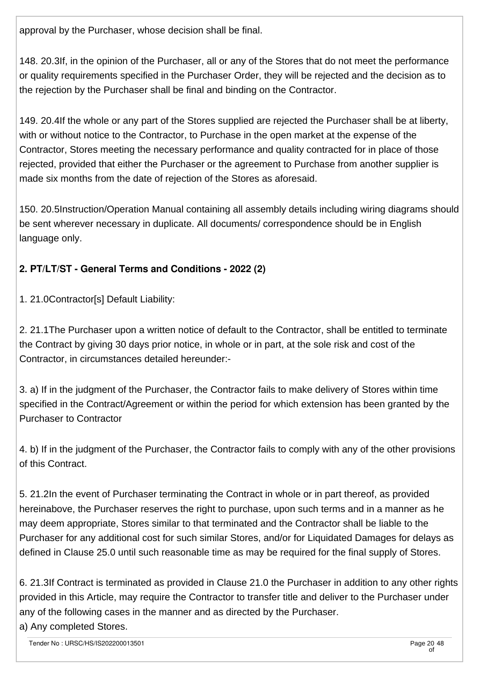approval by the Purchaser, whose decision shall be final.

148. 20.3If, in the opinion of the Purchaser, all or any of the Stores that do not meet the performance or quality requirements specified in the Purchaser Order, they will be rejected and the decision as to the rejection by the Purchaser shall be final and binding on the Contractor.

149. 20.4If the whole or any part of the Stores supplied are rejected the Purchaser shall be at liberty, with or without notice to the Contractor, to Purchase in the open market at the expense of the Contractor, Stores meeting the necessary performance and quality contracted for in place of those rejected, provided that either the Purchaser or the agreement to Purchase from another supplier is made six months from the date of rejection of the Stores as aforesaid.

150. 20.5Instruction/Operation Manual containing all assembly details including wiring diagrams should be sent wherever necessary in duplicate. All documents/ correspondence should be in English language only.

## **2. PT/LT/ST - General Terms and Conditions - 2022 (2)**

1. 21.0Contractor[s] Default Liability:

2. 21.1The Purchaser upon a written notice of default to the Contractor, shall be entitled to terminate the Contract by giving 30 days prior notice, in whole or in part, at the sole risk and cost of the Contractor, in circumstances detailed hereunder:-

3. a) If in the judgment of the Purchaser, the Contractor fails to make delivery of Stores within time specified in the Contract/Agreement or within the period for which extension has been granted by the Purchaser to Contractor

4. b) If in the judgment of the Purchaser, the Contractor fails to comply with any of the other provisions of this Contract.

5. 21.2In the event of Purchaser terminating the Contract in whole or in part thereof, as provided hereinabove, the Purchaser reserves the right to purchase, upon such terms and in a manner as he may deem appropriate, Stores similar to that terminated and the Contractor shall be liable to the Purchaser for any additional cost for such similar Stores, and/or for Liquidated Damages for delays as defined in Clause 25.0 until such reasonable time as may be required for the final supply of Stores.

6. 21.3If Contract is terminated as provided in Clause 21.0 the Purchaser in addition to any other rights provided in this Article, may require the Contractor to transfer title and deliver to the Purchaser under any of the following cases in the manner and as directed by the Purchaser.

a) Any completed Stores.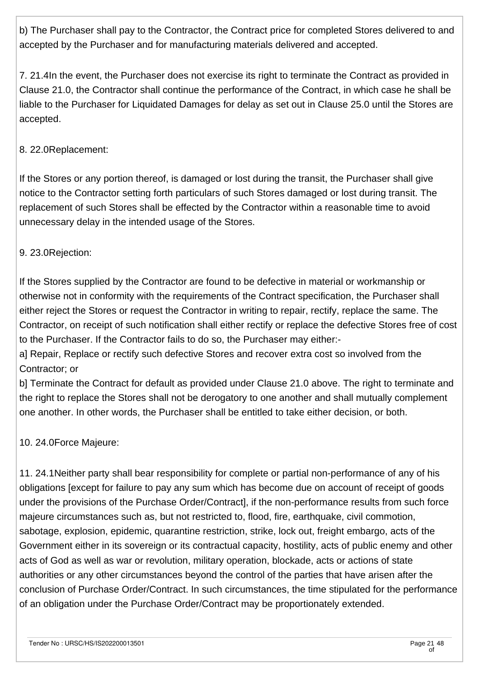b) The Purchaser shall pay to the Contractor, the Contract price for completed Stores delivered to and accepted by the Purchaser and for manufacturing materials delivered and accepted.

7. 21.4In the event, the Purchaser does not exercise its right to terminate the Contract as provided in Clause 21.0, the Contractor shall continue the performance of the Contract, in which case he shall be liable to the Purchaser for Liquidated Damages for delay as set out in Clause 25.0 until the Stores are accepted.

## 8. 22.0Replacement:

If the Stores or any portion thereof, is damaged or lost during the transit, the Purchaser shall give notice to the Contractor setting forth particulars of such Stores damaged or lost during transit. The replacement of such Stores shall be effected by the Contractor within a reasonable time to avoid unnecessary delay in the intended usage of the Stores.

## 9. 23.0Rejection:

If the Stores supplied by the Contractor are found to be defective in material or workmanship or otherwise not in conformity with the requirements of the Contract specification, the Purchaser shall either reject the Stores or request the Contractor in writing to repair, rectify, replace the same. The Contractor, on receipt of such notification shall either rectify or replace the defective Stores free of cost to the Purchaser. If the Contractor fails to do so, the Purchaser may either:-

a] Repair, Replace or rectify such defective Stores and recover extra cost so involved from the Contractor; or

b] Terminate the Contract for default as provided under Clause 21.0 above. The right to terminate and the right to replace the Stores shall not be derogatory to one another and shall mutually complement one another. In other words, the Purchaser shall be entitled to take either decision, or both.

### 10. 24.0Force Majeure:

11. 24.1Neither party shall bear responsibility for complete or partial non-performance of any of his obligations [except for failure to pay any sum which has become due on account of receipt of goods under the provisions of the Purchase Order/Contract], if the non-performance results from such force majeure circumstances such as, but not restricted to, flood, fire, earthquake, civil commotion, sabotage, explosion, epidemic, quarantine restriction, strike, lock out, freight embargo, acts of the Government either in its sovereign or its contractual capacity, hostility, acts of public enemy and other acts of God as well as war or revolution, military operation, blockade, acts or actions of state authorities or any other circumstances beyond the control of the parties that have arisen after the conclusion of Purchase Order/Contract. In such circumstances, the time stipulated for the performance of an obligation under the Purchase Order/Contract may be proportionately extended.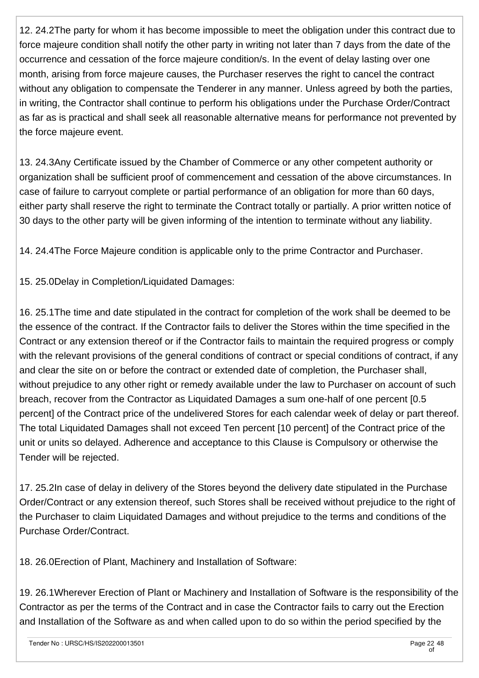12. 24.2The party for whom it has become impossible to meet the obligation under this contract due to force majeure condition shall notify the other party in writing not later than 7 days from the date of the occurrence and cessation of the force majeure condition/s. In the event of delay lasting over one month, arising from force majeure causes, the Purchaser reserves the right to cancel the contract without any obligation to compensate the Tenderer in any manner. Unless agreed by both the parties, in writing, the Contractor shall continue to perform his obligations under the Purchase Order/Contract as far as is practical and shall seek all reasonable alternative means for performance not prevented by the force majeure event.

13. 24.3Any Certificate issued by the Chamber of Commerce or any other competent authority or organization shall be sufficient proof of commencement and cessation of the above circumstances. In case of failure to carryout complete or partial performance of an obligation for more than 60 days, either party shall reserve the right to terminate the Contract totally or partially. A prior written notice of 30 days to the other party will be given informing of the intention to terminate without any liability.

14. 24.4The Force Majeure condition is applicable only to the prime Contractor and Purchaser.

15. 25.0Delay in Completion/Liquidated Damages:

16. 25.1The time and date stipulated in the contract for completion of the work shall be deemed to be the essence of the contract. If the Contractor fails to deliver the Stores within the time specified in the Contract or any extension thereof or if the Contractor fails to maintain the required progress or comply with the relevant provisions of the general conditions of contract or special conditions of contract, if any and clear the site on or before the contract or extended date of completion, the Purchaser shall, without prejudice to any other right or remedy available under the law to Purchaser on account of such breach, recover from the Contractor as Liquidated Damages a sum one-half of one percent [0.5 percent] of the Contract price of the undelivered Stores for each calendar week of delay or part thereof. The total Liquidated Damages shall not exceed Ten percent [10 percent] of the Contract price of the unit or units so delayed. Adherence and acceptance to this Clause is Compulsory or otherwise the Tender will be rejected.

17. 25.2In case of delay in delivery of the Stores beyond the delivery date stipulated in the Purchase Order/Contract or any extension thereof, such Stores shall be received without prejudice to the right of the Purchaser to claim Liquidated Damages and without prejudice to the terms and conditions of the Purchase Order/Contract.

18. 26.0Erection of Plant, Machinery and Installation of Software:

19. 26.1Wherever Erection of Plant or Machinery and Installation of Software is the responsibility of the Contractor as per the terms of the Contract and in case the Contractor fails to carry out the Erection and Installation of the Software as and when called upon to do so within the period specified by the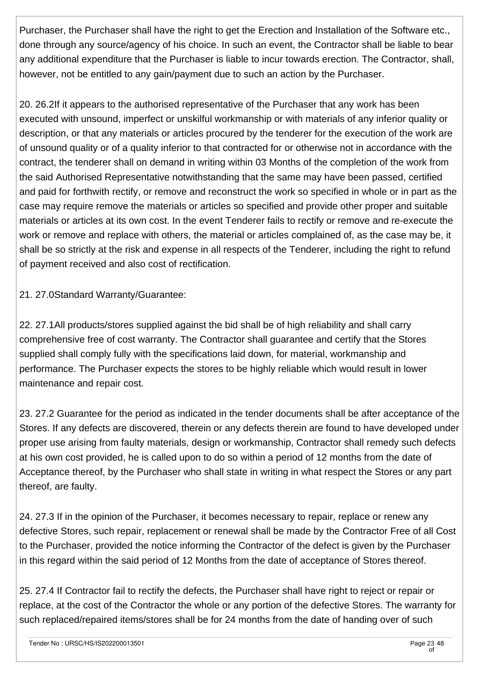Purchaser, the Purchaser shall have the right to get the Erection and Installation of the Software etc., done through any source/agency of his choice. In such an event, the Contractor shall be liable to bear any additional expenditure that the Purchaser is liable to incur towards erection. The Contractor, shall, however, not be entitled to any gain/payment due to such an action by the Purchaser.

20. 26.2If it appears to the authorised representative of the Purchaser that any work has been executed with unsound, imperfect or unskilful workmanship or with materials of any inferior quality or description, or that any materials or articles procured by the tenderer for the execution of the work are of unsound quality or of a quality inferior to that contracted for or otherwise not in accordance with the contract, the tenderer shall on demand in writing within 03 Months of the completion of the work from the said Authorised Representative notwithstanding that the same may have been passed, certified and paid for forthwith rectify, or remove and reconstruct the work so specified in whole or in part as the case may require remove the materials or articles so specified and provide other proper and suitable materials or articles at its own cost. In the event Tenderer fails to rectify or remove and re-execute the work or remove and replace with others, the material or articles complained of, as the case may be, it shall be so strictly at the risk and expense in all respects of the Tenderer, including the right to refund of payment received and also cost of rectification.

21. 27.0Standard Warranty/Guarantee:

22. 27.1All products/stores supplied against the bid shall be of high reliability and shall carry comprehensive free of cost warranty. The Contractor shall guarantee and certify that the Stores supplied shall comply fully with the specifications laid down, for material, workmanship and performance. The Purchaser expects the stores to be highly reliable which would result in lower maintenance and repair cost.

23. 27.2 Guarantee for the period as indicated in the tender documents shall be after acceptance of the Stores. If any defects are discovered, therein or any defects therein are found to have developed under proper use arising from faulty materials, design or workmanship, Contractor shall remedy such defects at his own cost provided, he is called upon to do so within a period of 12 months from the date of Acceptance thereof, by the Purchaser who shall state in writing in what respect the Stores or any part thereof, are faulty.

24. 27.3 If in the opinion of the Purchaser, it becomes necessary to repair, replace or renew any defective Stores, such repair, replacement or renewal shall be made by the Contractor Free of all Cost to the Purchaser, provided the notice informing the Contractor of the defect is given by the Purchaser in this regard within the said period of 12 Months from the date of acceptance of Stores thereof.

25. 27.4 If Contractor fail to rectify the defects, the Purchaser shall have right to reject or repair or replace, at the cost of the Contractor the whole or any portion of the defective Stores. The warranty for such replaced/repaired items/stores shall be for 24 months from the date of handing over of such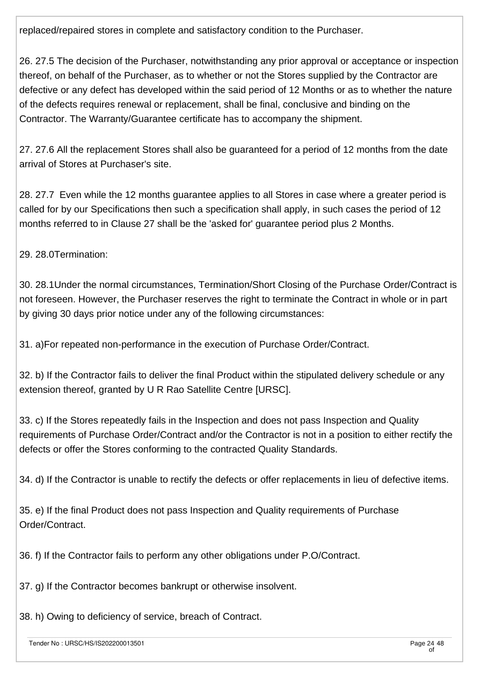replaced/repaired stores in complete and satisfactory condition to the Purchaser.

26. 27.5 The decision of the Purchaser, notwithstanding any prior approval or acceptance or inspection thereof, on behalf of the Purchaser, as to whether or not the Stores supplied by the Contractor are defective or any defect has developed within the said period of 12 Months or as to whether the nature of the defects requires renewal or replacement, shall be final, conclusive and binding on the Contractor. The Warranty/Guarantee certificate has to accompany the shipment.

27. 27.6 All the replacement Stores shall also be guaranteed for a period of 12 months from the date arrival of Stores at Purchaser's site.

28. 27.7 Even while the 12 months guarantee applies to all Stores in case where a greater period is called for by our Specifications then such a specification shall apply, in such cases the period of 12 months referred to in Clause 27 shall be the 'asked for' guarantee period plus 2 Months.

29. 28.0Termination:

30. 28.1Under the normal circumstances, Termination/Short Closing of the Purchase Order/Contract is not foreseen. However, the Purchaser reserves the right to terminate the Contract in whole or in part by giving 30 days prior notice under any of the following circumstances:

31. a)For repeated non-performance in the execution of Purchase Order/Contract.

32. b) If the Contractor fails to deliver the final Product within the stipulated delivery schedule or any extension thereof, granted by U R Rao Satellite Centre [URSC].

33. c) If the Stores repeatedly fails in the Inspection and does not pass Inspection and Quality requirements of Purchase Order/Contract and/or the Contractor is not in a position to either rectify the defects or offer the Stores conforming to the contracted Quality Standards.

34. d) If the Contractor is unable to rectify the defects or offer replacements in lieu of defective items.

35. e) If the final Product does not pass Inspection and Quality requirements of Purchase Order/Contract.

36. f) If the Contractor fails to perform any other obligations under P.O/Contract.

37. g) If the Contractor becomes bankrupt or otherwise insolvent.

38. h) Owing to deficiency of service, breach of Contract.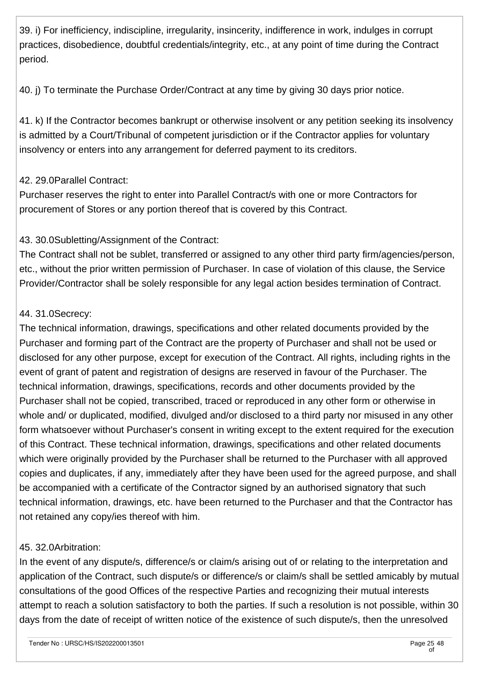39. i) For inefficiency, indiscipline, irregularity, insincerity, indifference in work, indulges in corrupt practices, disobedience, doubtful credentials/integrity, etc., at any point of time during the Contract period.

40. j) To terminate the Purchase Order/Contract at any time by giving 30 days prior notice.

41. k) If the Contractor becomes bankrupt or otherwise insolvent or any petition seeking its insolvency is admitted by a Court/Tribunal of competent jurisdiction or if the Contractor applies for voluntary insolvency or enters into any arrangement for deferred payment to its creditors.

## 42. 29.0Parallel Contract:

Purchaser reserves the right to enter into Parallel Contract/s with one or more Contractors for procurement of Stores or any portion thereof that is covered by this Contract.

## 43. 30.0Subletting/Assignment of the Contract:

The Contract shall not be sublet, transferred or assigned to any other third party firm/agencies/person, etc., without the prior written permission of Purchaser. In case of violation of this clause, the Service Provider/Contractor shall be solely responsible for any legal action besides termination of Contract.

### 44. 31.0Secrecy:

The technical information, drawings, specifications and other related documents provided by the Purchaser and forming part of the Contract are the property of Purchaser and shall not be used or disclosed for any other purpose, except for execution of the Contract. All rights, including rights in the event of grant of patent and registration of designs are reserved in favour of the Purchaser. The technical information, drawings, specifications, records and other documents provided by the Purchaser shall not be copied, transcribed, traced or reproduced in any other form or otherwise in whole and/ or duplicated, modified, divulged and/or disclosed to a third party nor misused in any other form whatsoever without Purchaser's consent in writing except to the extent required for the execution of this Contract. These technical information, drawings, specifications and other related documents which were originally provided by the Purchaser shall be returned to the Purchaser with all approved copies and duplicates, if any, immediately after they have been used for the agreed purpose, and shall be accompanied with a certificate of the Contractor signed by an authorised signatory that such technical information, drawings, etc. have been returned to the Purchaser and that the Contractor has not retained any copy/ies thereof with him.

### 45. 32.0Arbitration:

In the event of any dispute/s, difference/s or claim/s arising out of or relating to the interpretation and application of the Contract, such dispute/s or difference/s or claim/s shall be settled amicably by mutual consultations of the good Offices of the respective Parties and recognizing their mutual interests attempt to reach a solution satisfactory to both the parties. If such a resolution is not possible, within 30 days from the date of receipt of written notice of the existence of such dispute/s, then the unresolved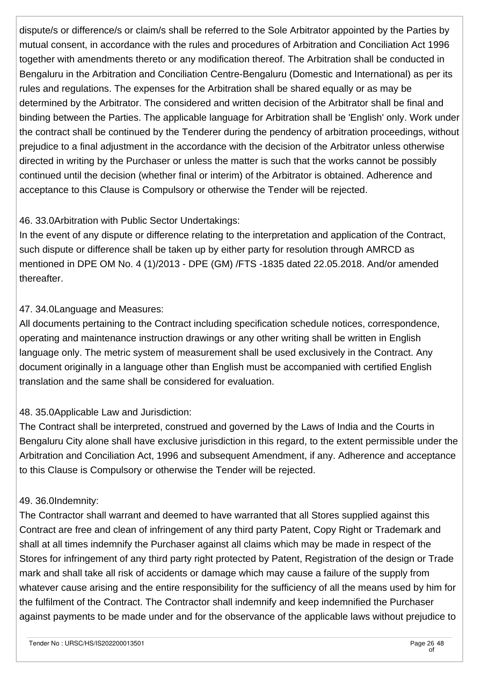dispute/s or difference/s or claim/s shall be referred to the Sole Arbitrator appointed by the Parties by mutual consent, in accordance with the rules and procedures of Arbitration and Conciliation Act 1996 together with amendments thereto or any modification thereof. The Arbitration shall be conducted in Bengaluru in the Arbitration and Conciliation Centre-Bengaluru (Domestic and International) as per its rules and regulations. The expenses for the Arbitration shall be shared equally or as may be determined by the Arbitrator. The considered and written decision of the Arbitrator shall be final and binding between the Parties. The applicable language for Arbitration shall be 'English' only. Work under the contract shall be continued by the Tenderer during the pendency of arbitration proceedings, without prejudice to a final adjustment in the accordance with the decision of the Arbitrator unless otherwise directed in writing by the Purchaser or unless the matter is such that the works cannot be possibly continued until the decision (whether final or interim) of the Arbitrator is obtained. Adherence and acceptance to this Clause is Compulsory or otherwise the Tender will be rejected.

## 46. 33.0Arbitration with Public Sector Undertakings:

In the event of any dispute or difference relating to the interpretation and application of the Contract, such dispute or difference shall be taken up by either party for resolution through AMRCD as mentioned in DPE OM No. 4 (1)/2013 - DPE (GM) /FTS -1835 dated 22.05.2018. And/or amended thereafter.

## 47. 34.0Language and Measures:

All documents pertaining to the Contract including specification schedule notices, correspondence, operating and maintenance instruction drawings or any other writing shall be written in English language only. The metric system of measurement shall be used exclusively in the Contract. Any document originally in a language other than English must be accompanied with certified English translation and the same shall be considered for evaluation.

## 48. 35.0Applicable Law and Jurisdiction:

The Contract shall be interpreted, construed and governed by the Laws of India and the Courts in Bengaluru City alone shall have exclusive jurisdiction in this regard, to the extent permissible under the Arbitration and Conciliation Act, 1996 and subsequent Amendment, if any. Adherence and acceptance to this Clause is Compulsory or otherwise the Tender will be rejected.

### 49. 36.0Indemnity:

The Contractor shall warrant and deemed to have warranted that all Stores supplied against this Contract are free and clean of infringement of any third party Patent, Copy Right or Trademark and shall at all times indemnify the Purchaser against all claims which may be made in respect of the Stores for infringement of any third party right protected by Patent, Registration of the design or Trade mark and shall take all risk of accidents or damage which may cause a failure of the supply from whatever cause arising and the entire responsibility for the sufficiency of all the means used by him for the fulfilment of the Contract. The Contractor shall indemnify and keep indemnified the Purchaser against payments to be made under and for the observance of the applicable laws without prejudice to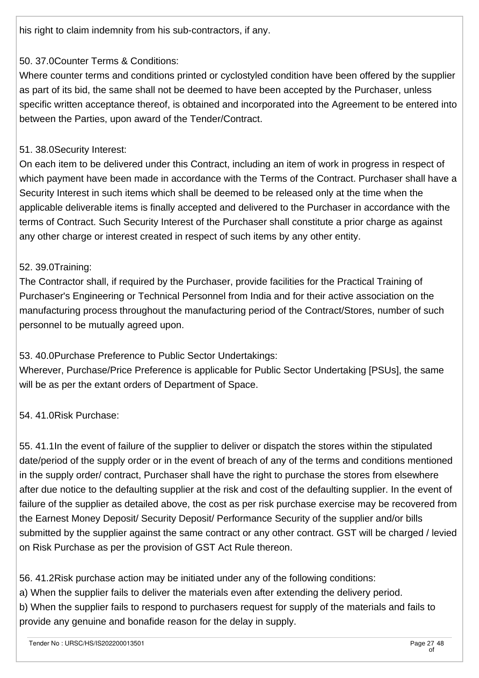his right to claim indemnity from his sub-contractors, if any.

## 50. 37.0Counter Terms & Conditions:

Where counter terms and conditions printed or cyclostyled condition have been offered by the supplier as part of its bid, the same shall not be deemed to have been accepted by the Purchaser, unless specific written acceptance thereof, is obtained and incorporated into the Agreement to be entered into between the Parties, upon award of the Tender/Contract.

## 51. 38.0Security Interest:

On each item to be delivered under this Contract, including an item of work in progress in respect of which payment have been made in accordance with the Terms of the Contract. Purchaser shall have a Security Interest in such items which shall be deemed to be released only at the time when the applicable deliverable items is finally accepted and delivered to the Purchaser in accordance with the terms of Contract. Such Security Interest of the Purchaser shall constitute a prior charge as against any other charge or interest created in respect of such items by any other entity.

## 52. 39.0Training:

The Contractor shall, if required by the Purchaser, provide facilities for the Practical Training of Purchaser's Engineering or Technical Personnel from India and for their active association on the manufacturing process throughout the manufacturing period of the Contract/Stores, number of such personnel to be mutually agreed upon.

## 53. 40.0Purchase Preference to Public Sector Undertakings:

Wherever, Purchase/Price Preference is applicable for Public Sector Undertaking [PSUs], the same will be as per the extant orders of Department of Space.

### 54. 41.0Risk Purchase:

55. 41.1In the event of failure of the supplier to deliver or dispatch the stores within the stipulated date/period of the supply order or in the event of breach of any of the terms and conditions mentioned in the supply order/ contract, Purchaser shall have the right to purchase the stores from elsewhere after due notice to the defaulting supplier at the risk and cost of the defaulting supplier. In the event of failure of the supplier as detailed above, the cost as per risk purchase exercise may be recovered from the Earnest Money Deposit/ Security Deposit/ Performance Security of the supplier and/or bills submitted by the supplier against the same contract or any other contract. GST will be charged / levied on Risk Purchase as per the provision of GST Act Rule thereon.

56. 41.2Risk purchase action may be initiated under any of the following conditions:

a) When the supplier fails to deliver the materials even after extending the delivery period.

b) When the supplier fails to respond to purchasers request for supply of the materials and fails to provide any genuine and bonafide reason for the delay in supply.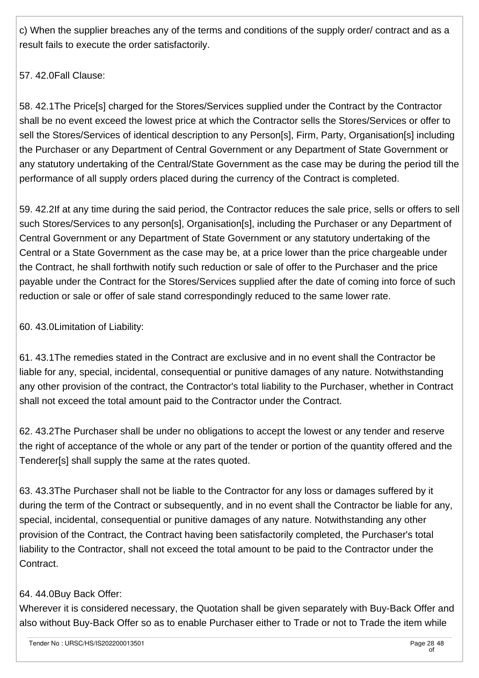c) When the supplier breaches any of the terms and conditions of the supply order/ contract and as a result fails to execute the order satisfactorily.

57. 42.0Fall Clause:

58. 42.1The Price[s] charged for the Stores/Services supplied under the Contract by the Contractor shall be no event exceed the lowest price at which the Contractor sells the Stores/Services or offer to sell the Stores/Services of identical description to any Person[s], Firm, Party, Organisation[s] including the Purchaser or any Department of Central Government or any Department of State Government or any statutory undertaking of the Central/State Government as the case may be during the period till the performance of all supply orders placed during the currency of the Contract is completed.

59. 42.2If at any time during the said period, the Contractor reduces the sale price, sells or offers to sell such Stores/Services to any person[s], Organisation[s], including the Purchaser or any Department of Central Government or any Department of State Government or any statutory undertaking of the Central or a State Government as the case may be, at a price lower than the price chargeable under the Contract, he shall forthwith notify such reduction or sale of offer to the Purchaser and the price payable under the Contract for the Stores/Services supplied after the date of coming into force of such reduction or sale or offer of sale stand correspondingly reduced to the same lower rate.

60. 43.0Limitation of Liability:

61. 43.1The remedies stated in the Contract are exclusive and in no event shall the Contractor be liable for any, special, incidental, consequential or punitive damages of any nature. Notwithstanding any other provision of the contract, the Contractor's total liability to the Purchaser, whether in Contract shall not exceed the total amount paid to the Contractor under the Contract.

62. 43.2The Purchaser shall be under no obligations to accept the lowest or any tender and reserve the right of acceptance of the whole or any part of the tender or portion of the quantity offered and the Tenderer[s] shall supply the same at the rates quoted.

63. 43.3The Purchaser shall not be liable to the Contractor for any loss or damages suffered by it during the term of the Contract or subsequently, and in no event shall the Contractor be liable for any, special, incidental, consequential or punitive damages of any nature. Notwithstanding any other provision of the Contract, the Contract having been satisfactorily completed, the Purchaser's total liability to the Contractor, shall not exceed the total amount to be paid to the Contractor under the Contract.

## 64. 44.0Buy Back Offer:

Wherever it is considered necessary, the Quotation shall be given separately with Buy-Back Offer and also without Buy-Back Offer so as to enable Purchaser either to Trade or not to Trade the item while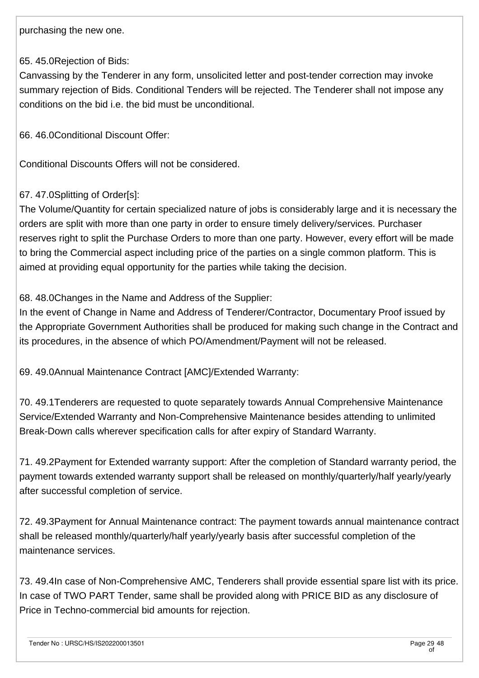purchasing the new one.

#### 65. 45.0Rejection of Bids:

Canvassing by the Tenderer in any form, unsolicited letter and post-tender correction may invoke summary rejection of Bids. Conditional Tenders will be rejected. The Tenderer shall not impose any conditions on the bid i.e. the bid must be unconditional.

66. 46.0Conditional Discount Offer:

Conditional Discounts Offers will not be considered.

### 67. 47.0Splitting of Order[s]:

The Volume/Quantity for certain specialized nature of jobs is considerably large and it is necessary the orders are split with more than one party in order to ensure timely delivery/services. Purchaser reserves right to split the Purchase Orders to more than one party. However, every effort will be made to bring the Commercial aspect including price of the parties on a single common platform. This is aimed at providing equal opportunity for the parties while taking the decision.

68. 48.0Changes in the Name and Address of the Supplier:

In the event of Change in Name and Address of Tenderer/Contractor, Documentary Proof issued by the Appropriate Government Authorities shall be produced for making such change in the Contract and its procedures, in the absence of which PO/Amendment/Payment will not be released.

69. 49.0Annual Maintenance Contract [AMC]/Extended Warranty:

70. 49.1Tenderers are requested to quote separately towards Annual Comprehensive Maintenance Service/Extended Warranty and Non-Comprehensive Maintenance besides attending to unlimited Break-Down calls wherever specification calls for after expiry of Standard Warranty.

71. 49.2Payment for Extended warranty support: After the completion of Standard warranty period, the payment towards extended warranty support shall be released on monthly/quarterly/half yearly/yearly after successful completion of service.

72. 49.3Payment for Annual Maintenance contract: The payment towards annual maintenance contract shall be released monthly/quarterly/half yearly/yearly basis after successful completion of the maintenance services.

73. 49.4In case of Non-Comprehensive AMC, Tenderers shall provide essential spare list with its price. In case of TWO PART Tender, same shall be provided along with PRICE BID as any disclosure of Price in Techno-commercial bid amounts for rejection.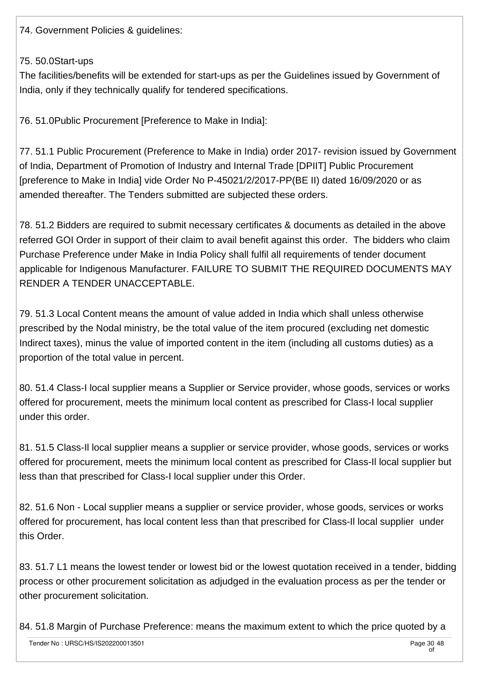74. Government Policies & guidelines:

#### 75. 50.0Start-ups

The facilities/benefits will be extended for start-ups as per the Guidelines issued by Government of India, only if they technically qualify for tendered specifications.

76. 51.0Public Procurement [Preference to Make in India]:

77. 51.1 Public Procurement (Preference to Make in India) order 2017- revision issued by Government of India, Department of Promotion of Industry and Internal Trade [DPIIT] Public Procurement [preference to Make in India] vide Order No P-45021/2/2017-PP(BE II) dated 16/09/2020 or as amended thereafter. The Tenders submitted are subjected these orders.

78. 51.2 Bidders are required to submit necessary certificates & documents as detailed in the above referred GOI Order in support of their claim to avail benefit against this order. The bidders who claim Purchase Preference under Make in India Policy shall fulfil all requirements of tender document applicable for Indigenous Manufacturer. FAILURE TO SUBMIT THE REQUIRED DOCUMENTS MAY RENDER A TENDER UNACCEPTABLE.

79. 51.3 Local Content means the amount of value added in India which shall unless otherwise prescribed by the Nodal ministry, be the total value of the item procured (excluding net domestic Indirect taxes), minus the value of imported content in the item (including all customs duties) as a proportion of the total value in percent.

80. 51.4 Class-I local supplier means a Supplier or Service provider, whose goods, services or works offered for procurement, meets the minimum local content as prescribed for Class-I local supplier under this order.

81. 51.5 Class-Il local supplier means a supplier or service provider, whose goods, services or works offered for procurement, meets the minimum local content as prescribed for Class-Il local supplier but less than that prescribed for Class-I local supplier under this Order.

82. 51.6 Non - Local supplier means a supplier or service provider, whose goods, services or works offered for procurement, has local content less than that prescribed for Class-Il local supplier under this Order.

83. 51.7 L1 means the lowest tender or lowest bid or the lowest quotation received in a tender, bidding process or other procurement solicitation as adjudged in the evaluation process as per the tender or other procurement solicitation.

84. 51.8 Margin of Purchase Preference: means the maximum extent to which the price quoted by a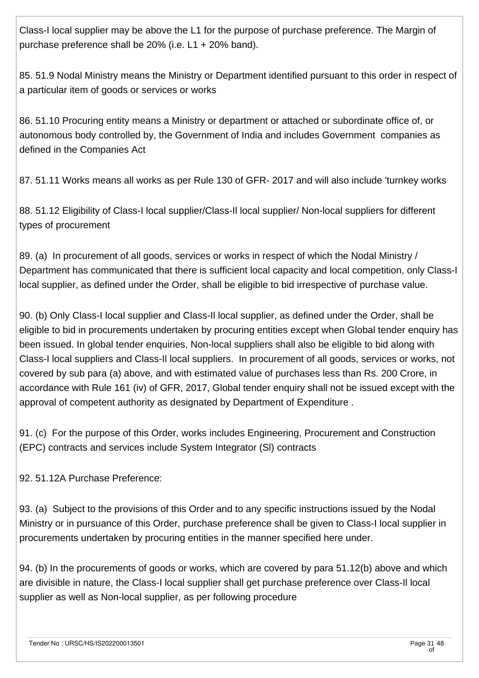Class-I local supplier may be above the L1 for the purpose of purchase preference. The Margin of purchase preference shall be 20% (i.e. L1 + 20% band).

85. 51.9 Nodal Ministry means the Ministry or Department identified pursuant to this order in respect of a particular item of goods or services or works

86. 51.10 Procuring entity means a Ministry or department or attached or subordinate office of, or autonomous body controlled by, the Government of India and includes Government companies as defined in the Companies Act

87. 51.11 Works means all works as per Rule 130 of GFR- 2017 and will also include 'turnkey works

88. 51.12 Eligibility of Class-I local supplier/Class-Il local supplier/ Non-local suppliers for different types of procurement

89. (a) In procurement of all goods, services or works in respect of which the Nodal Ministry / Department has communicated that there is sufficient local capacity and local competition, only Class-I local supplier, as defined under the Order, shall be eligible to bid irrespective of purchase value.

90. (b) Only Class-I local supplier and Class-Il local supplier, as defined under the Order, shall be eligible to bid in procurements undertaken by procuring entities except when Global tender enquiry has been issued. In global tender enquiries, Non-local suppliers shall also be eligible to bid along with Class-I local suppliers and Class-Il local suppliers. In procurement of all goods, services or works, not covered by sub para (a) above, and with estimated value of purchases less than Rs. 200 Crore, in accordance with Rule 161 (iv) of GFR, 2017, Global tender enquiry shall not be issued except with the approval of competent authority as designated by Department of Expenditure .

91. (c) For the purpose of this Order, works includes Engineering, Procurement and Construction (EPC) contracts and services include System Integrator (Sl) contracts

92. 51.12A Purchase Preference:

93. (a) Subject to the provisions of this Order and to any specific instructions issued by the Nodal Ministry or in pursuance of this Order, purchase preference shall be given to Class-I local supplier in procurements undertaken by procuring entities in the manner specified here under.

94. (b) In the procurements of goods or works, which are covered by para 51.12(b) above and which are divisible in nature, the Class-I local supplier shall get purchase preference over Class-Il local supplier as well as Non-local supplier, as per following procedure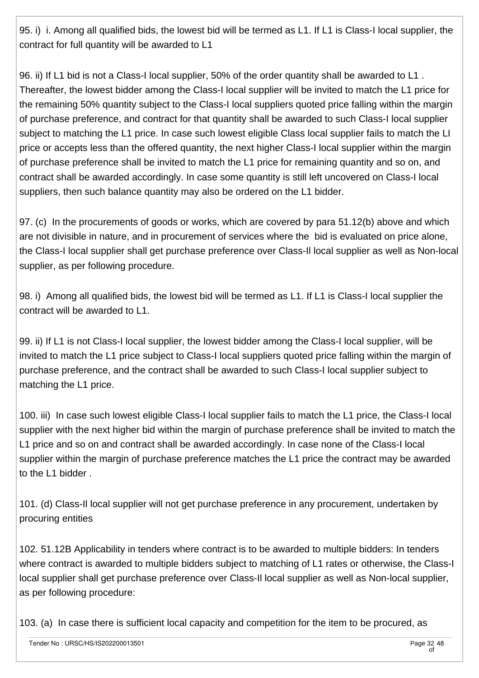95. i) i. Among all qualified bids, the lowest bid will be termed as L1. If L1 is Class-I local supplier, the contract for full quantity will be awarded to L1

96. ii) If L1 bid is not a Class-I local supplier, 50% of the order quantity shall be awarded to L1 . Thereafter, the lowest bidder among the Class-I local supplier will be invited to match the L1 price for the remaining 50% quantity subject to the Class-I local suppliers quoted price falling within the margin of purchase preference, and contract for that quantity shall be awarded to such Class-I local supplier subject to matching the L1 price. In case such lowest eligible Class local supplier fails to match the LI price or accepts less than the offered quantity, the next higher Class-I local supplier within the margin of purchase preference shall be invited to match the L1 price for remaining quantity and so on, and contract shall be awarded accordingly. In case some quantity is still left uncovered on Class-I local suppliers, then such balance quantity may also be ordered on the L1 bidder.

97. (c) In the procurements of goods or works, which are covered by para 51.12(b) above and which are not divisible in nature, and in procurement of services where the bid is evaluated on price alone, the Class-I local supplier shall get purchase preference over Class-Il local supplier as well as Non-local supplier, as per following procedure.

98. i) Among all qualified bids, the lowest bid will be termed as L1. If L1 is Class-I local supplier the contract will be awarded to L1.

99. ii) If L1 is not Class-I local supplier, the lowest bidder among the Class-I local supplier, will be invited to match the L1 price subject to Class-I local suppliers quoted price falling within the margin of purchase preference, and the contract shall be awarded to such Class-I local supplier subject to matching the L1 price.

100. iii) In case such lowest eligible Class-I local supplier fails to match the L1 price, the Class-I local supplier with the next higher bid within the margin of purchase preference shall be invited to match the L1 price and so on and contract shall be awarded accordingly. In case none of the Class-I local supplier within the margin of purchase preference matches the L1 price the contract may be awarded to the L1 bidder .

101. (d) Class-Il local supplier will not get purchase preference in any procurement, undertaken by procuring entities

102. 51.12B Applicability in tenders where contract is to be awarded to multiple bidders: In tenders where contract is awarded to multiple bidders subject to matching of L1 rates or otherwise, the Class-I local supplier shall get purchase preference over Class-Il local supplier as well as Non-local supplier, as per following procedure:

103. (a) In case there is sufficient local capacity and competition for the item to be procured, as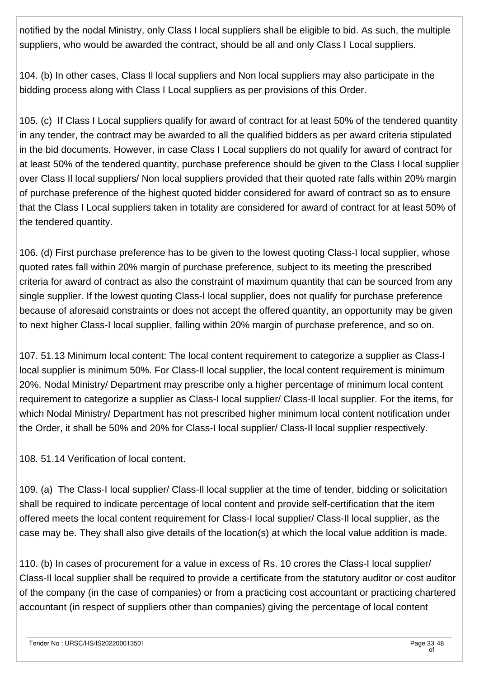notified by the nodal Ministry, only Class I local suppliers shall be eligible to bid. As such, the multiple suppliers, who would be awarded the contract, should be all and only Class I Local suppliers.

104. (b) In other cases, Class Il local suppliers and Non local suppliers may also participate in the bidding process along with Class I Local suppliers as per provisions of this Order.

105. (c) If Class I Local suppliers qualify for award of contract for at least 50% of the tendered quantity in any tender, the contract may be awarded to all the qualified bidders as per award criteria stipulated in the bid documents. However, in case Class I Local suppliers do not qualify for award of contract for at least 50% of the tendered quantity, purchase preference should be given to the Class I local supplier over Class Il local suppliers/ Non local suppliers provided that their quoted rate falls within 20% margin of purchase preference of the highest quoted bidder considered for award of contract so as to ensure that the Class I Local suppliers taken in totality are considered for award of contract for at least 50% of the tendered quantity.

106. (d) First purchase preference has to be given to the lowest quoting Class-I local supplier, whose quoted rates fall within 20% margin of purchase preference, subject to its meeting the prescribed criteria for award of contract as also the constraint of maximum quantity that can be sourced from any single supplier. If the lowest quoting Class-I local supplier, does not qualify for purchase preference because of aforesaid constraints or does not accept the offered quantity, an opportunity may be given to next higher Class-I local supplier, falling within 20% margin of purchase preference, and so on.

107. 51.13 Minimum local content: The local content requirement to categorize a supplier as Class-I local supplier is minimum 50%. For Class-Il local supplier, the local content requirement is minimum 20%. Nodal Ministry/ Department may prescribe only a higher percentage of minimum local content requirement to categorize a supplier as Class-I local supplier/ Class-Il local supplier. For the items, for which Nodal Ministry/ Department has not prescribed higher minimum local content notification under the Order, it shall be 50% and 20% for Class-I local supplier/ Class-Il local supplier respectively.

108. 51.14 Verification of local content.

109. (a) The Class-I local supplier/ Class-Il local supplier at the time of tender, bidding or solicitation shall be required to indicate percentage of local content and provide self-certification that the item offered meets the local content requirement for Class-I local supplier/ Class-Il local supplier, as the case may be. They shall also give details of the location(s) at which the local value addition is made.

110. (b) In cases of procurement for a value in excess of Rs. 10 crores the Class-I local supplier/ Class-Il local supplier shall be required to provide a certificate from the statutory auditor or cost auditor of the company (in the case of companies) or from a practicing cost accountant or practicing chartered accountant (in respect of suppliers other than companies) giving the percentage of local content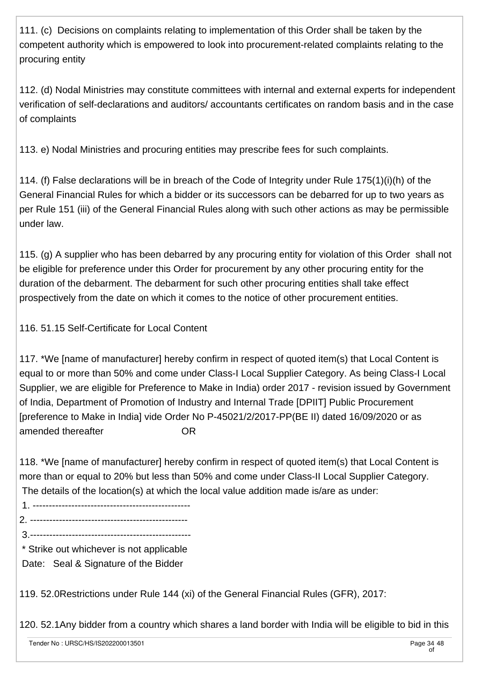111. (c) Decisions on complaints relating to implementation of this Order shall be taken by the competent authority which is empowered to look into procurement-related complaints relating to the procuring entity

112. (d) Nodal Ministries may constitute committees with internal and external experts for independent verification of self-declarations and auditors/ accountants certificates on random basis and in the case of complaints

113. e) Nodal Ministries and procuring entities may prescribe fees for such complaints.

114. (f) False declarations will be in breach of the Code of Integrity under Rule 175(1)(i)(h) of the General Financial Rules for which a bidder or its successors can be debarred for up to two years as per Rule 151 (iii) of the General Financial Rules along with such other actions as may be permissible under law.

115. (g) A supplier who has been debarred by any procuring entity for violation of this Order shall not be eligible for preference under this Order for procurement by any other procuring entity for the duration of the debarment. The debarment for such other procuring entities shall take effect prospectively from the date on which it comes to the notice of other procurement entities.

116. 51.15 Self-Certificate for Local Content

117. \*We [name of manufacturer] hereby confirm in respect of quoted item(s) that Local Content is equal to or more than 50% and come under Class-I Local Supplier Category. As being Class-I Local Supplier, we are eligible for Preference to Make in India) order 2017 - revision issued by Government of India, Department of Promotion of Industry and Internal Trade [DPIIT] Public Procurement [preference to Make in India] vide Order No P-45021/2/2017-PP(BE II) dated 16/09/2020 or as amended thereafter The Controller Controller

118. \*We [name of manufacturer] hereby confirm in respect of quoted item(s) that Local Content is more than or equal to 20% but less than 50% and come under Class-II Local Supplier Category. The details of the location(s) at which the local value addition made is/are as under:

1. -------------------------------------------------

2. -------------------------------------------------

3.--------------------------------------------------

\* Strike out whichever is not applicable

Date: Seal & Signature of the Bidder

119. 52.0Restrictions under Rule 144 (xi) of the General Financial Rules (GFR), 2017:

120. 52.1Any bidder from a country which shares a land border with India will be eligible to bid in this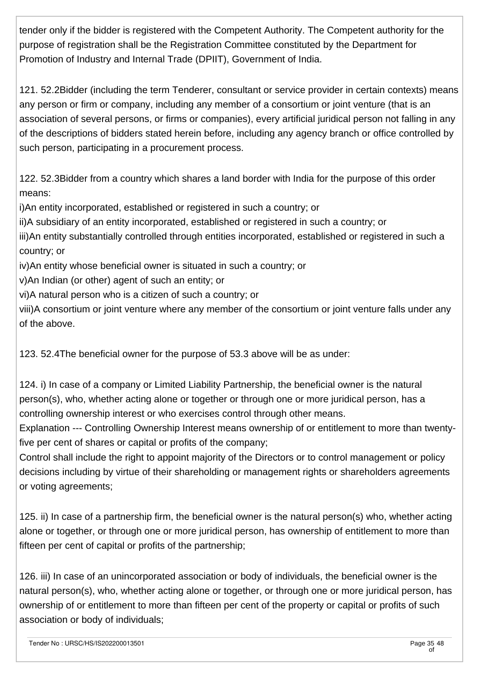tender only if the bidder is registered with the Competent Authority. The Competent authority for the purpose of registration shall be the Registration Committee constituted by the Department for Promotion of Industry and Internal Trade (DPIIT), Government of India.

121. 52.2Bidder (including the term Tenderer, consultant or service provider in certain contexts) means any person or firm or company, including any member of a consortium or joint venture (that is an association of several persons, or firms or companies), every artificial juridical person not falling in any of the descriptions of bidders stated herein before, including any agency branch or office controlled by such person, participating in a procurement process.

122. 52.3Bidder from a country which shares a land border with India for the purpose of this order means:

i)An entity incorporated, established or registered in such a country; or

ii)A subsidiary of an entity incorporated, established or registered in such a country; or

iii)An entity substantially controlled through entities incorporated, established or registered in such a country; or

iv)An entity whose beneficial owner is situated in such a country; or

v)An Indian (or other) agent of such an entity; or

vi)A natural person who is a citizen of such a country; or

viii)A consortium or joint venture where any member of the consortium or joint venture falls under any of the above.

123. 52.4The beneficial owner for the purpose of 53.3 above will be as under:

124. i) In case of a company or Limited Liability Partnership, the beneficial owner is the natural person(s), who, whether acting alone or together or through one or more juridical person, has a controlling ownership interest or who exercises control through other means.

Explanation --- Controlling Ownership Interest means ownership of or entitlement to more than twentyfive per cent of shares or capital or profits of the company;

Control shall include the right to appoint majority of the Directors or to control management or policy decisions including by virtue of their shareholding or management rights or shareholders agreements or voting agreements;

125. ii) In case of a partnership firm, the beneficial owner is the natural person(s) who, whether acting alone or together, or through one or more juridical person, has ownership of entitlement to more than fifteen per cent of capital or profits of the partnership;

126. iii) In case of an unincorporated association or body of individuals, the beneficial owner is the natural person(s), who, whether acting alone or together, or through one or more juridical person, has ownership of or entitlement to more than fifteen per cent of the property or capital or profits of such association or body of individuals;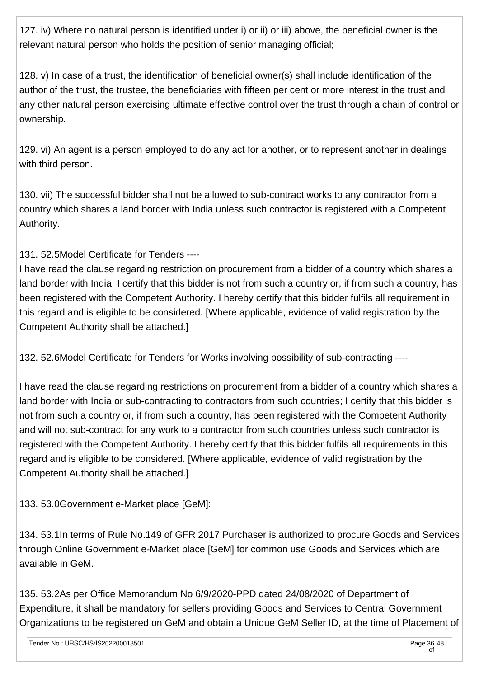127. iv) Where no natural person is identified under i) or ii) or iii) above, the beneficial owner is the relevant natural person who holds the position of senior managing official;

128. v) In case of a trust, the identification of beneficial owner(s) shall include identification of the author of the trust, the trustee, the beneficiaries with fifteen per cent or more interest in the trust and any other natural person exercising ultimate effective control over the trust through a chain of control or ownership.

129. vi) An agent is a person employed to do any act for another, or to represent another in dealings with third person.

130. vii) The successful bidder shall not be allowed to sub-contract works to any contractor from a country which shares a land border with India unless such contractor is registered with a Competent Authority.

131. 52.5Model Certificate for Tenders ----

I have read the clause regarding restriction on procurement from a bidder of a country which shares a land border with India; I certify that this bidder is not from such a country or, if from such a country, has been registered with the Competent Authority. I hereby certify that this bidder fulfils all requirement in this regard and is eligible to be considered. [Where applicable, evidence of valid registration by the Competent Authority shall be attached.]

132. 52.6Model Certificate for Tenders for Works involving possibility of sub-contracting ----

I have read the clause regarding restrictions on procurement from a bidder of a country which shares a land border with India or sub-contracting to contractors from such countries; I certify that this bidder is not from such a country or, if from such a country, has been registered with the Competent Authority and will not sub-contract for any work to a contractor from such countries unless such contractor is registered with the Competent Authority. I hereby certify that this bidder fulfils all requirements in this regard and is eligible to be considered. [Where applicable, evidence of valid registration by the Competent Authority shall be attached.]

133. 53.0Government e-Market place [GeM]:

134. 53.1In terms of Rule No.149 of GFR 2017 Purchaser is authorized to procure Goods and Services through Online Government e-Market place [GeM] for common use Goods and Services which are available in GeM.

135. 53.2As per Office Memorandum No 6/9/2020-PPD dated 24/08/2020 of Department of Expenditure, it shall be mandatory for sellers providing Goods and Services to Central Government Organizations to be registered on GeM and obtain a Unique GeM Seller ID, at the time of Placement of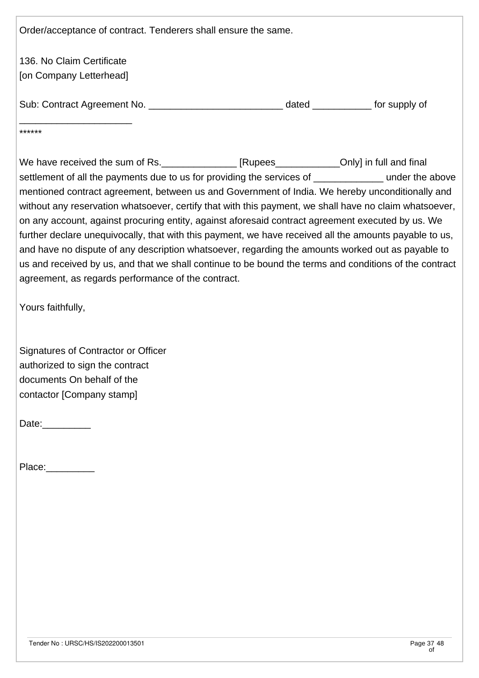Order/acceptance of contract. Tenderers shall ensure the same. 136. No Claim Certificate [on Company Letterhead] Sub: Contract Agreement No. \_\_\_\_\_\_\_\_\_\_\_\_\_\_\_\_\_\_\_\_\_\_\_\_\_ dated \_\_\_\_\_\_\_\_\_\_\_ for supply of \_\_\_\_\_\_\_\_\_\_\_\_\_\_\_\_\_\_\_\_\_ \*\*\*\*\*\* We have received the sum of Rs. \_\_\_\_\_\_\_\_\_\_\_\_\_\_\_ [Rupees\_\_\_\_\_\_\_\_\_\_\_\_Only] in full and final settlement of all the payments due to us for providing the services of \_\_\_\_\_\_\_\_\_\_\_\_\_\_\_\_ under the above mentioned contract agreement, between us and Government of India. We hereby unconditionally and without any reservation whatsoever, certify that with this payment, we shall have no claim whatsoever, on any account, against procuring entity, against aforesaid contract agreement executed by us. We further declare unequivocally, that with this payment, we have received all the amounts payable to us, and have no dispute of any description whatsoever, regarding the amounts worked out as payable to us and received by us, and that we shall continue to be bound the terms and conditions of the contract agreement, as regards performance of the contract. Yours faithfully, Signatures of Contractor or Officer authorized to sign the contract documents On behalf of the contactor [Company stamp] Date:\_\_\_\_\_\_\_\_\_\_\_ Place: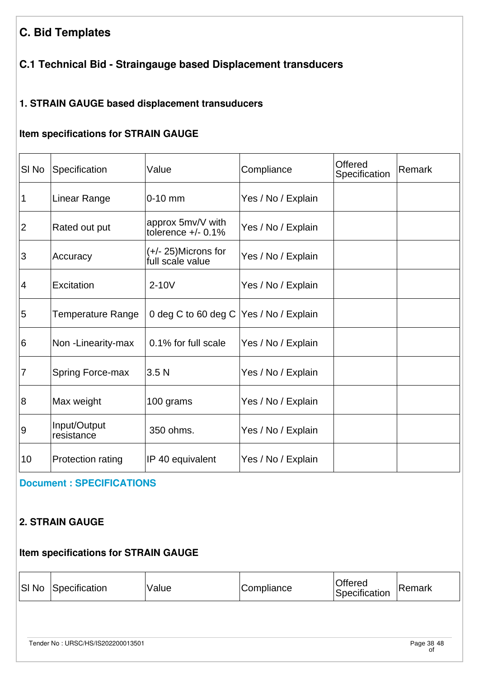# **C. Bid Templates**

## **C.1 Technical Bid - Straingauge based Displacement transducers**

## **1. STRAIN GAUGE based displacement transuducers**

## **Item specifications for STRAIN GAUGE**

| <b>SI No</b>   | Specification              | Value                                      | Compliance         | Offered<br>Specification | Remark |
|----------------|----------------------------|--------------------------------------------|--------------------|--------------------------|--------|
| 1              | Linear Range               | $0-10$ mm                                  | Yes / No / Explain |                          |        |
| 2              | Rated out put              | approx 5mv/V with<br>tolerence $+/- 0.1%$  | Yes / No / Explain |                          |        |
| 3              | Accuracy                   | $(+/- 25)$ Microns for<br>full scale value | Yes / No / Explain |                          |        |
| $\vert 4$      | Excitation                 | $2-10V$                                    | Yes / No / Explain |                          |        |
| 5              | Temperature Range          | 0 deg C to 60 deg C   Yes / No / Explain   |                    |                          |        |
| 6              | Non-Linearity-max          | 0.1% for full scale                        | Yes / No / Explain |                          |        |
| $\overline{7}$ | <b>Spring Force-max</b>    | 3.5 <sub>N</sub>                           | Yes / No / Explain |                          |        |
| $\overline{8}$ | Max weight                 | 100 grams                                  | Yes / No / Explain |                          |        |
| 9              | Input/Output<br>resistance | 350 ohms.                                  | Yes / No / Explain |                          |        |
| 10             | <b>Protection rating</b>   | IP 40 equivalent                           | Yes / No / Explain |                          |        |

#### **[Document : SPECIFICATIONS](https://eproc.isro.gov.in/common/viewDocument?id=ff808181804a39af018050300cbc0952&indentId=IS2022000135)**

### **2. STRAIN GAUGE**

## **Item specifications for STRAIN GAUGE**

| $\vert$ SI No | Specification                     | Value | Compliance | Offered<br>Specification | Remark                        |
|---------------|-----------------------------------|-------|------------|--------------------------|-------------------------------|
|               |                                   |       |            |                          |                               |
|               | Tender No: URSC/HS/IS202200013501 |       |            |                          | Page 38 <sub>,</sub> 48<br>οf |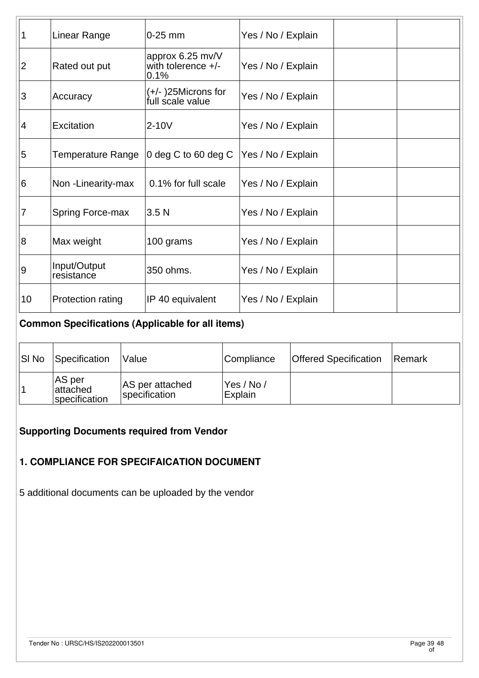| 1              | Linear Range               | $0-25$ mm                                        | Yes / No / Explain |  |
|----------------|----------------------------|--------------------------------------------------|--------------------|--|
| $ 2\rangle$    | Rated out put              | approx 6.25 mv/V<br>with tolerence $+/-$<br>0.1% | Yes / No / Explain |  |
| $\overline{3}$ | Accuracy                   | (+/-)25Microns for<br>full scale value           | Yes / No / Explain |  |
| $\overline{4}$ | Excitation                 | 2-10V                                            | Yes / No / Explain |  |
| 5              | Temperature Range          | 0 deg C to 60 deg C                              | Yes / No / Explain |  |
| 6              | Non-Linearity-max          | 0.1% for full scale                              | Yes / No / Explain |  |
| $\overline{7}$ | <b>Spring Force-max</b>    | 3.5 <sub>N</sub>                                 | Yes / No / Explain |  |
| $\overline{8}$ | Max weight                 | 100 grams                                        | Yes / No / Explain |  |
| 9              | Input/Output<br>resistance | 350 ohms.                                        | Yes / No / Explain |  |
| 10             | Protection rating          | IP 40 equivalent                                 | Yes / No / Explain |  |

## **Common Specifications (Applicable for all items)**

| <b>SI No</b> | Specification                       | <i><b>Nalue</b></i>              | Compliance             | <b>Offered Specification</b> | Remark |
|--------------|-------------------------------------|----------------------------------|------------------------|------------------------------|--------|
|              | AS per<br>attached<br>specification | AS per attached<br>specification | 'Yes / No /<br>Explain |                              |        |

## **Supporting Documents required from Vendor**

### **1. COMPLIANCE FOR SPECIFAICATION DOCUMENT**

5 additional documents can be uploaded by the vendor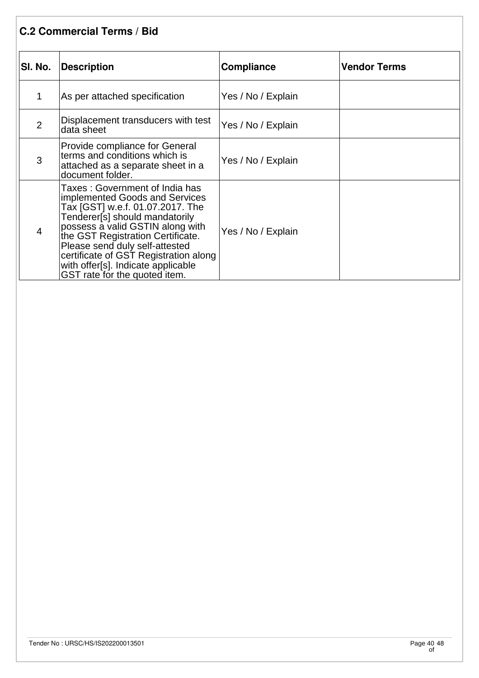## **C.2 Commercial Terms / Bid**

| SI. No.        | Description                                                                                                                                                                                                                                                                                                                                                        | <b>Compliance</b>  | <b>Vendor Terms</b> |
|----------------|--------------------------------------------------------------------------------------------------------------------------------------------------------------------------------------------------------------------------------------------------------------------------------------------------------------------------------------------------------------------|--------------------|---------------------|
| 1              | As per attached specification                                                                                                                                                                                                                                                                                                                                      | Yes / No / Explain |                     |
| $\overline{2}$ | Displacement transducers with test<br>data sheet                                                                                                                                                                                                                                                                                                                   | Yes / No / Explain |                     |
| 3              | Provide compliance for General<br>terms and conditions which is<br>attached as a separate sheet in a<br>document folder.                                                                                                                                                                                                                                           | Yes / No / Explain |                     |
| $\overline{4}$ | Taxes : Government of India has<br>implemented Goods and Services<br>Tax [GST] w.e.f. 01.07.2017. The<br>Tenderer[s] should mandatorily<br>possess a valid GSTIN along with<br>the GST Registration Certificate.<br>Please send duly self-attested<br>certificate of GST Registration along<br>with offer[s]. Indicate applicable<br>GST rate for the quoted item. | Yes / No / Explain |                     |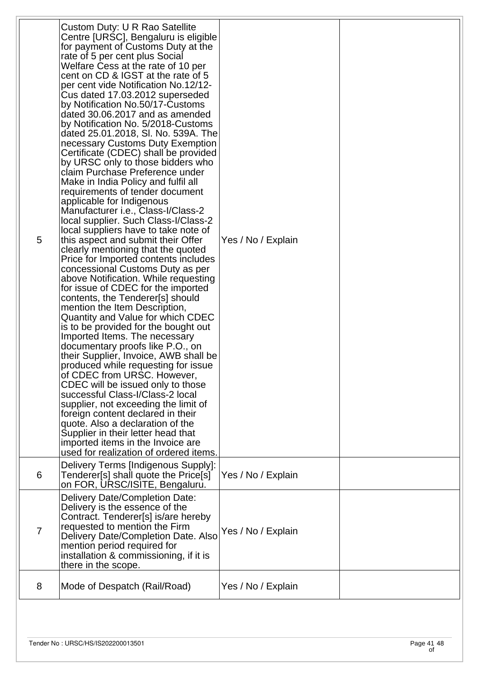| 5              | Custom Duty: U R Rao Satellite<br>Centre [URSC], Bengaluru is eligible<br>for payment of Customs Duty at the<br>rate of 5 per cent plus Social<br>Welfare Cess at the rate of 10 per<br>cent on CD & IGST at the rate of 5<br>per cent vide Notification No.12/12-<br>Cus dated 17.03.2012 superseded<br>by Notification No.50/17-Customs<br>dated 30.06.2017 and as amended<br>by Notification No. 5/2018-Customs<br>dated 25.01.2018, SI. No. 539A. The<br>necessary Customs Duty Exemption<br>Certificate (CDEC) shall be provided<br>by URSC only to those bidders who<br>claim Purchase Preference under<br>Make in India Policy and fulfil all<br>requirements of tender document<br>applicable for Indigenous<br>Manufacturer i.e., Class-I/Class-2<br>local supplier. Such Class-I/Class-2<br>local suppliers have to take note of<br>this aspect and submit their Offer<br>clearly mentioning that the quoted<br>Price for Imported contents includes<br>concessional Customs Duty as per<br>above Notification. While requesting<br>for issue of CDEC for the imported<br>contents, the Tenderer[s] should<br>mention the Item Description,<br>Quantity and Value for which CDEC<br>is to be provided for the bought out<br>Imported Items. The necessary<br>documentary proofs like P.O., on<br>their Supplier, Invoice, AWB shall be<br>produced while requesting for issue<br>of CDEC from URSC. However,<br>CDEC will be issued only to those<br>successful Class-I/Class-2 local<br>supplier, not exceeding the limit of<br>foreign content declared in their<br>quote. Also a declaration of the<br>Supplier in their letter head that<br>imported items in the Invoice are<br>used for realization of ordered items. | Yes / No / Explain |  |
|----------------|---------------------------------------------------------------------------------------------------------------------------------------------------------------------------------------------------------------------------------------------------------------------------------------------------------------------------------------------------------------------------------------------------------------------------------------------------------------------------------------------------------------------------------------------------------------------------------------------------------------------------------------------------------------------------------------------------------------------------------------------------------------------------------------------------------------------------------------------------------------------------------------------------------------------------------------------------------------------------------------------------------------------------------------------------------------------------------------------------------------------------------------------------------------------------------------------------------------------------------------------------------------------------------------------------------------------------------------------------------------------------------------------------------------------------------------------------------------------------------------------------------------------------------------------------------------------------------------------------------------------------------------------------------------------------------------------------------------------------------------|--------------------|--|
| 6              | Delivery Terms [Indigenous Supply]:<br>Tenderer[s] shall quote the Price[s]<br>on FOR, URSC/ISITE, Bengaluru.                                                                                                                                                                                                                                                                                                                                                                                                                                                                                                                                                                                                                                                                                                                                                                                                                                                                                                                                                                                                                                                                                                                                                                                                                                                                                                                                                                                                                                                                                                                                                                                                                         | Yes / No / Explain |  |
| $\overline{7}$ | Delivery Date/Completion Date:<br>Delivery is the essence of the<br>Contract. Tenderer[s] is/are hereby<br>requested to mention the Firm<br>Delivery Date/Completion Date. Also<br>mention period required for<br>installation & commissioning, if it is<br>there in the scope.                                                                                                                                                                                                                                                                                                                                                                                                                                                                                                                                                                                                                                                                                                                                                                                                                                                                                                                                                                                                                                                                                                                                                                                                                                                                                                                                                                                                                                                       | Yes / No / Explain |  |
| 8              | Mode of Despatch (Rail/Road)                                                                                                                                                                                                                                                                                                                                                                                                                                                                                                                                                                                                                                                                                                                                                                                                                                                                                                                                                                                                                                                                                                                                                                                                                                                                                                                                                                                                                                                                                                                                                                                                                                                                                                          | Yes / No / Explain |  |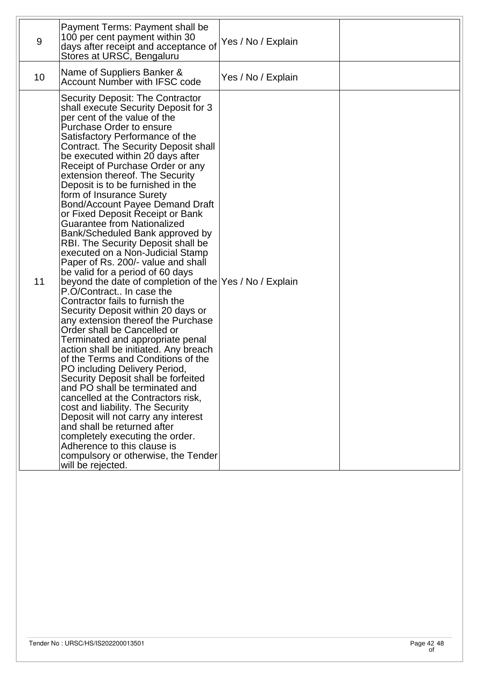| 9  | Payment Terms: Payment shall be<br>100 per cent payment within 30<br>days after receipt and acceptance of<br>Stores at URSC, Bengaluru                                                                                                                                                                                                                                                                                                                                                                                                                                                                                                                                                                                                                                                                                                                                                                                                                                                                                                                                                                                                                                                                                                                                                                                                                                                                                                          | Yes / No / Explain |  |
|----|-------------------------------------------------------------------------------------------------------------------------------------------------------------------------------------------------------------------------------------------------------------------------------------------------------------------------------------------------------------------------------------------------------------------------------------------------------------------------------------------------------------------------------------------------------------------------------------------------------------------------------------------------------------------------------------------------------------------------------------------------------------------------------------------------------------------------------------------------------------------------------------------------------------------------------------------------------------------------------------------------------------------------------------------------------------------------------------------------------------------------------------------------------------------------------------------------------------------------------------------------------------------------------------------------------------------------------------------------------------------------------------------------------------------------------------------------|--------------------|--|
| 10 | Name of Suppliers Banker &<br><b>Account Number with IFSC code</b>                                                                                                                                                                                                                                                                                                                                                                                                                                                                                                                                                                                                                                                                                                                                                                                                                                                                                                                                                                                                                                                                                                                                                                                                                                                                                                                                                                              | Yes / No / Explain |  |
| 11 | Security Deposit: The Contractor<br>shall execute Security Deposit for 3<br>per cent of the value of the<br>Purchase Order to ensure<br>Satisfactory Performance of the<br>Contract. The Security Deposit shall<br>be executed within 20 days after<br>Receipt of Purchase Order or any<br>extension thereof. The Security<br>Deposit is to be furnished in the<br>form of Insurance Surety<br>Bond/Account Payee Demand Draft<br>or Fixed Deposit Receipt or Bank<br><b>Guarantee from Nationalized</b><br>Bank/Scheduled Bank approved by<br>RBI. The Security Deposit shall be<br>executed on a Non-Judicial Stamp<br>Paper of Rs. 200/- value and shall<br>be valid for a period of 60 days<br>beyond the date of completion of the Yes / No / Explain<br>P.O/Contract In case the<br>Contractor fails to furnish the<br>Security Deposit within 20 days or<br>any extension thereof the Purchase<br>Order shall be Cancelled or<br>Terminated and appropriate penal<br>action shall be initiated. Any breach<br>of the Terms and Conditions of the<br>PO including Delivery Period,<br>Security Deposit shall be forfeited<br>and PO shall be terminated and<br>cancelled at the Contractors risk,<br>cost and liability. The Security<br>Deposit will not carry any interest<br>and shall be returned after<br>completely executing the order.<br>Adherence to this clause is<br>compulsory or otherwise, the Tender<br>will be rejected. |                    |  |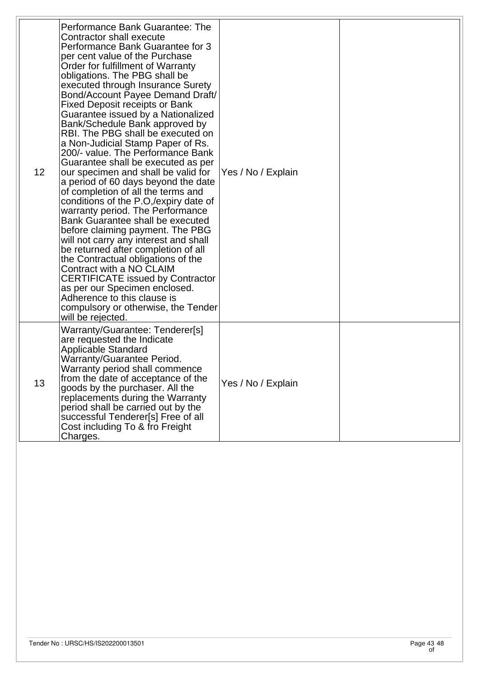| 12 | Performance Bank Guarantee: The<br>Contractor shall execute<br>Performance Bank Guarantee for 3<br>per cent value of the Purchase<br>Order for fulfillment of Warranty<br>obligations. The PBG shall be<br>executed through Insurance Surety<br>Bond/Account Payee Demand Draft/<br><b>Fixed Deposit receipts or Bank</b><br>Guarantee issued by a Nationalized<br>Bank/Schedule Bank approved by<br>RBI. The PBG shall be executed on<br>a Non-Judicial Stamp Paper of Rs.<br>200/- value. The Performance Bank<br>Guarantee shall be executed as per<br>our specimen and shall be valid for<br>a period of 60 days beyond the date<br>of completion of all the terms and<br>conditions of the P.O,/expiry date of<br>warranty period. The Performance<br>Bank Guarantee shall be executed<br>before claiming payment. The PBG<br>will not carry any interest and shall<br>be returned after completion of all<br>the Contractual obligations of the<br>Contract with a NO CLAIM<br><b>CERTIFICATE issued by Contractor</b><br>as per our Specimen enclosed.<br>Adherence to this clause is<br>compulsory or otherwise, the Tender<br>will be rejected. | Yes / No / Explain |  |
|----|----------------------------------------------------------------------------------------------------------------------------------------------------------------------------------------------------------------------------------------------------------------------------------------------------------------------------------------------------------------------------------------------------------------------------------------------------------------------------------------------------------------------------------------------------------------------------------------------------------------------------------------------------------------------------------------------------------------------------------------------------------------------------------------------------------------------------------------------------------------------------------------------------------------------------------------------------------------------------------------------------------------------------------------------------------------------------------------------------------------------------------------------------------|--------------------|--|
| 13 | Warranty/Guarantee: Tenderer[s]<br>are requested the Indicate<br><b>Applicable Standard</b><br>Warranty/Guarantee Period.<br>Warranty period shall commence<br>from the date of acceptance of the<br>goods by the purchaser. All the<br>replacements during the Warranty<br>period shall be carried out by the<br>successful Tenderer[s] Free of all<br>Cost including To & fro Freight<br>Charges.                                                                                                                                                                                                                                                                                                                                                                                                                                                                                                                                                                                                                                                                                                                                                      | Yes / No / Explain |  |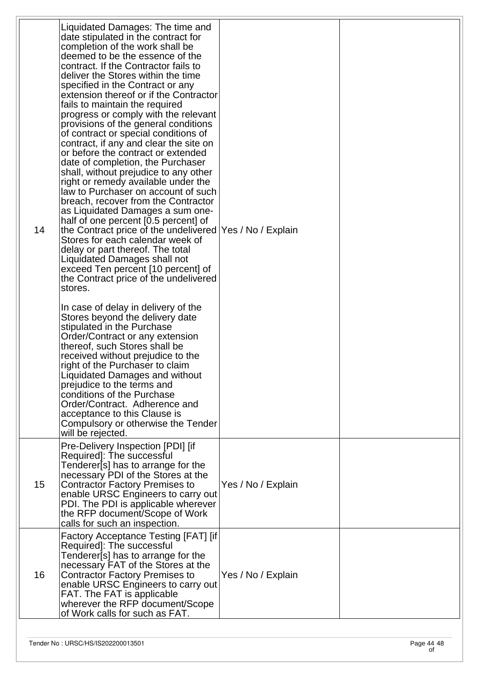| 14 | Liquidated Damages: The time and<br>date stipulated in the contract for<br>completion of the work shall be<br>deemed to be the essence of the<br>contract. If the Contractor fails to<br>deliver the Stores within the time<br>specified in the Contract or any<br>extension thereof or if the Contractor<br>fails to maintain the required<br>progress or comply with the relevant<br>provisions of the general conditions<br>of contract or special conditions of<br>contract, if any and clear the site on<br>or before the contract or extended<br>date of completion, the Purchaser<br>shall, without prejudice to any other<br>right or remedy available under the<br>law to Purchaser on account of such<br>breach, recover from the Contractor<br>as Liquidated Damages a sum one-<br>half of one percent [0.5 percent] of<br>the Contract price of the undelivered Yes / No / Explain<br>Stores for each calendar week of<br>delay or part thereof. The total<br>Liquidated Damages shall not<br>exceed Ten percent [10 percent] of<br>the Contract price of the undelivered<br>stores.<br>In case of delay in delivery of the<br>Stores beyond the delivery date<br>stipulated in the Purchase<br>Order/Contract or any extension<br>thereof, such Stores shall be<br>received without prejudice to the<br>right of the Purchaser to claim<br>Liquidated Damages and without<br>prejudice to the terms and<br>conditions of the Purchase<br>Order/Contract. Adherence and<br>acceptance to this Clause is<br>Compulsory or otherwise the Tender<br>will be rejected. |                    |  |
|----|--------------------------------------------------------------------------------------------------------------------------------------------------------------------------------------------------------------------------------------------------------------------------------------------------------------------------------------------------------------------------------------------------------------------------------------------------------------------------------------------------------------------------------------------------------------------------------------------------------------------------------------------------------------------------------------------------------------------------------------------------------------------------------------------------------------------------------------------------------------------------------------------------------------------------------------------------------------------------------------------------------------------------------------------------------------------------------------------------------------------------------------------------------------------------------------------------------------------------------------------------------------------------------------------------------------------------------------------------------------------------------------------------------------------------------------------------------------------------------------------------------------------------------------------------------------------------------|--------------------|--|
| 15 | Pre-Delivery Inspection [PDI] [if<br>Required]: The successful<br>Tenderer[s] has to arrange for the<br>necessary PDI of the Stores at the<br><b>Contractor Factory Premises to</b><br>enable URSC Engineers to carry out<br>PDI. The PDI is applicable wherever<br>the RFP document/Scope of Work<br>calls for such an inspection.                                                                                                                                                                                                                                                                                                                                                                                                                                                                                                                                                                                                                                                                                                                                                                                                                                                                                                                                                                                                                                                                                                                                                                                                                                            | Yes / No / Explain |  |
| 16 | Factory Acceptance Testing [FAT] [if<br>Required]: The successful<br>Tenderer[s] has to arrange for the<br>necessary FAT of the Stores at the<br><b>Contractor Factory Premises to</b><br>enable URSC Engineers to carry out<br>FAT. The FAT is applicable<br>wherever the RFP document/Scope<br>of Work calls for such as FAT.                                                                                                                                                                                                                                                                                                                                                                                                                                                                                                                                                                                                                                                                                                                                                                                                                                                                                                                                                                                                                                                                                                                                                                                                                                                | Yes / No / Explain |  |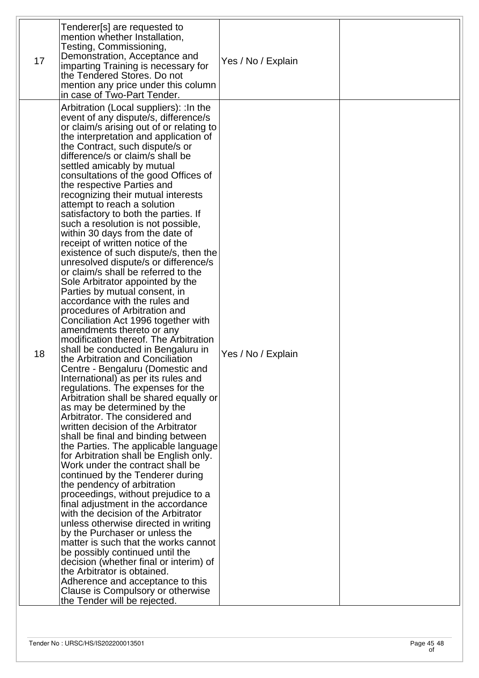| 17 | Tenderer[s] are requested to<br>mention whether Installation,<br>Testing, Commissioning,<br>Demonstration, Acceptance and<br>imparting Training is necessary for<br>the Tendered Stores. Do not<br>mention any price under this column<br>in case of Two-Part Tender.                                                                                                                                                                                                                                                                                                                                                                                                                                                                                                                                                                                                                                                                                                                                                                                                                                                                                                                                                                                                                                                                                                                                                                                                                                                                                                                                                                                                                                                                                                                                                                                                                                                                                                                      | Yes / No / Explain |  |
|----|--------------------------------------------------------------------------------------------------------------------------------------------------------------------------------------------------------------------------------------------------------------------------------------------------------------------------------------------------------------------------------------------------------------------------------------------------------------------------------------------------------------------------------------------------------------------------------------------------------------------------------------------------------------------------------------------------------------------------------------------------------------------------------------------------------------------------------------------------------------------------------------------------------------------------------------------------------------------------------------------------------------------------------------------------------------------------------------------------------------------------------------------------------------------------------------------------------------------------------------------------------------------------------------------------------------------------------------------------------------------------------------------------------------------------------------------------------------------------------------------------------------------------------------------------------------------------------------------------------------------------------------------------------------------------------------------------------------------------------------------------------------------------------------------------------------------------------------------------------------------------------------------------------------------------------------------------------------------------------------------|--------------------|--|
| 18 | Arbitration (Local suppliers): : In the<br>event of any dispute/s, difference/s<br>or claim/s arising out of or relating to<br>the interpretation and application of<br>the Contract, such dispute/s or<br>difference/s or claim/s shall be<br>settled amicably by mutual<br>consultations of the good Offices of<br>the respective Parties and<br>recognizing their mutual interests<br>attempt to reach a solution<br>satisfactory to both the parties. If<br>such a resolution is not possible,<br>within 30 days from the date of<br>receipt of written notice of the<br>existence of such dispute/s, then the<br>unresolved dispute/s or difference/s<br>or claim/s shall be referred to the<br>Sole Arbitrator appointed by the<br>Parties by mutual consent, in<br>accordance with the rules and<br>procedures of Arbitration and<br>Conciliation Act 1996 together with<br>amendments thereto or any<br>modification thereof. The Arbitration<br>shall be conducted in Bengaluru in<br>the Arbitration and Conciliation<br>Centre - Bengaluru (Domestic and<br>International) as per its rules and<br>regulations. The expenses for the<br>Arbitration shall be shared equally or<br>as may be determined by the<br>Arbitrator. The considered and<br>written decision of the Arbitrator<br>shall be final and binding between<br>the Parties. The applicable language<br>for Arbitration shall be English only.<br>Work under the contract shall be<br>continued by the Tenderer during<br>the pendency of arbitration<br>proceedings, without prejudice to a<br>final adjustment in the accordance<br>with the decision of the Arbitrator<br>unless otherwise directed in writing<br>by the Purchaser or unless the<br>matter is such that the works cannot<br>be possibly continued until the<br>decision (whether final or interim) of<br>the Arbitrator is obtained.<br>Adherence and acceptance to this<br>Clause is Compulsory or otherwise<br>the Tender will be rejected. | Yes / No / Explain |  |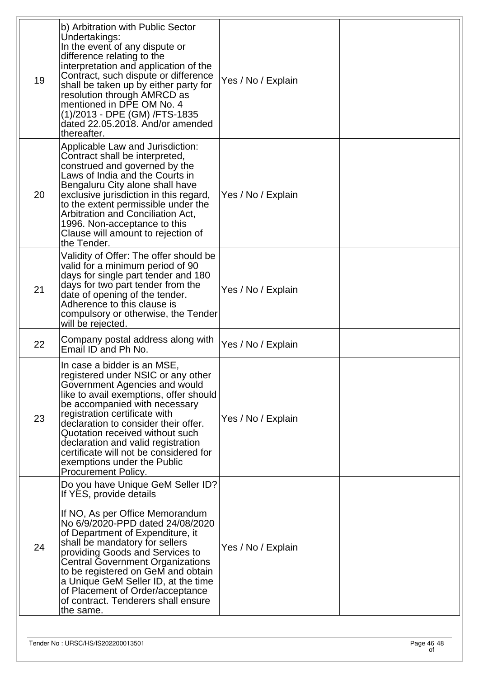| 19 | b) Arbitration with Public Sector<br>Undertakings:<br>In the event of any dispute or<br>difference relating to the<br>interpretation and application of the<br>Contract, such dispute or difference<br>shall be taken up by either party for<br>resolution through AMRCD as<br>mentioned in DPE OM No. 4<br>(1)/2013 - DPE (GM) /FTS-1835<br>dated 22.05.2018. And/or amended<br>thereafter.                                                          | Yes / No / Explain |  |
|----|-------------------------------------------------------------------------------------------------------------------------------------------------------------------------------------------------------------------------------------------------------------------------------------------------------------------------------------------------------------------------------------------------------------------------------------------------------|--------------------|--|
| 20 | Applicable Law and Jurisdiction:<br>Contract shall be interpreted,<br>construed and governed by the<br>Laws of India and the Courts in<br>Bengaluru City alone shall have<br>exclusive jurisdiction in this regard,<br>to the extent permissible under the<br>Arbitration and Conciliation Act.<br>1996. Non-acceptance to this<br>Clause will amount to rejection of<br>the Tender.                                                                  | Yes / No / Explain |  |
| 21 | Validity of Offer: The offer should be<br>valid for a minimum period of 90<br>days for single part tender and 180<br>days for two part tender from the<br>date of opening of the tender.<br>Adherence to this clause is<br>compulsory or otherwise, the Tender<br>will be rejected.                                                                                                                                                                   | Yes / No / Explain |  |
| 22 | Company postal address along with<br>Email ID and Ph No.                                                                                                                                                                                                                                                                                                                                                                                              | Yes / No / Explain |  |
| 23 | In case a bidder is an MSE,<br>registered under NSIC or any other<br>Government Agencies and would<br>like to avail exemptions, offer should<br>be accompanied with necessary<br>registration certificate with<br>declaration to consider their offer.<br>Quotation received without such<br>declaration and valid registration<br>certificate will not be considered for<br>exemptions under the Public<br>Procurement Policy.                       | Yes / No / Explain |  |
| 24 | Do you have Unique GeM Seller ID?<br>If YES, provide details<br>If NO, As per Office Memorandum<br>No 6/9/2020-PPD dated 24/08/2020<br>of Department of Expenditure, it<br>shall be mandatory for sellers<br>providing Goods and Services to<br>Central Government Organizations<br>to be registered on GeM and obtain<br>a Unique GeM Seller ID, at the time<br>of Placement of Order/acceptance<br>of contract. Tenderers shall ensure<br>the same. | Yes / No / Explain |  |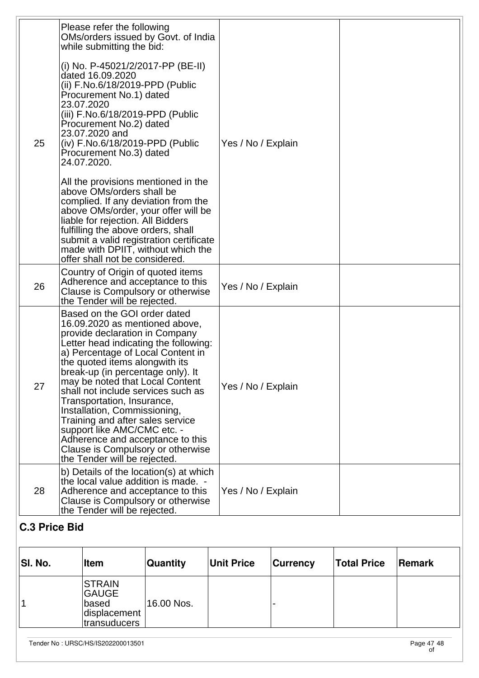|    | Please refer the following<br>OMs/orders issued by Govt. of India<br>while submitting the bid:                                                                                                                                                                                                                                                                                                                                                                                                                                                                           |                    |  |
|----|--------------------------------------------------------------------------------------------------------------------------------------------------------------------------------------------------------------------------------------------------------------------------------------------------------------------------------------------------------------------------------------------------------------------------------------------------------------------------------------------------------------------------------------------------------------------------|--------------------|--|
| 25 | (i) No. P-45021/2/2017-PP (BE-II)<br>dated 16.09.2020<br>(ii) F.No.6/18/2019-PPD (Public<br>Procurement No.1) dated<br>23.07.2020<br>(iii) F.No.6/18/2019-PPD (Public<br>Procurement No.2) dated<br>23.07.2020 and<br>(iv) F.No.6/18/2019-PPD (Public<br>Procurement No.3) dated<br>24.07.2020.                                                                                                                                                                                                                                                                          | Yes / No / Explain |  |
|    | All the provisions mentioned in the<br>above OMs/orders shall be<br>complied. If any deviation from the<br>above OMs/order, your offer will be<br>liable for rejection. All Bidders<br>fulfilling the above orders, shall<br>submit a valid registration certificate<br>made with DPIIT, without which the<br>offer shall not be considered.                                                                                                                                                                                                                             |                    |  |
| 26 | Country of Origin of quoted items<br>Adherence and acceptance to this<br>Clause is Compulsory or otherwise<br>the Tender will be rejected.                                                                                                                                                                                                                                                                                                                                                                                                                               | Yes / No / Explain |  |
| 27 | Based on the GOI order dated<br>16.09.2020 as mentioned above,<br>provide declaration in Company<br>Letter head indicating the following:<br>a) Percentage of Local Content in<br>the quoted items alongwith its<br>break-up (in percentage only). It<br>may be noted that Local Content<br>shall not include services such as<br>Transportation, Insurance,<br>Installation, Commissioning,<br>Training and after sales service<br>support like AMC/CMC etc. -<br>Adherence and acceptance to this<br>Clause is Compulsory or otherwise<br>the Tender will be rejected. | Yes / No / Explain |  |
| 28 | b) Details of the location(s) at which<br>the local value addition is made. -<br>Adherence and acceptance to this<br>Clause is Compulsory or otherwise<br>the Tender will be rejected.                                                                                                                                                                                                                                                                                                                                                                                   | Yes / No / Explain |  |

# **C.3 Price Bid**

| SI. No. | ∣Item                                                                    | <b>Quantity</b> | <b>Unit Price</b> | <b>Currency</b> | <b>Total Price</b> | Remark |
|---------|--------------------------------------------------------------------------|-----------------|-------------------|-----------------|--------------------|--------|
|         | <b>STRAIN</b><br><b>GAUGE</b><br>∣based<br>displacement<br> transuducers | 16.00 Nos.      |                   |                 |                    |        |